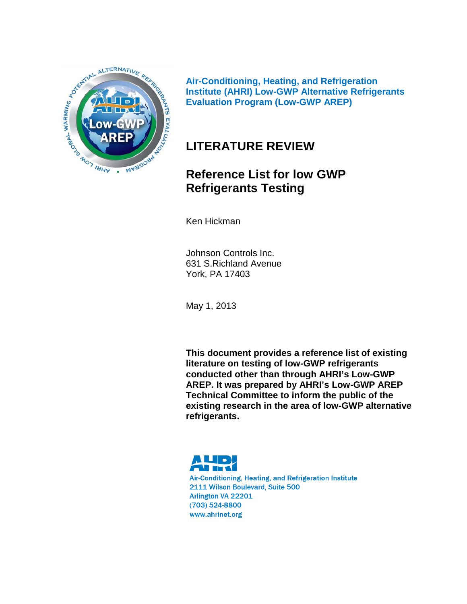

**Air-Conditioning, Heating, and Refrigeration Institute (AHRI) Low-GWP Alternative Refrigerants Evaluation Program (Low-GWP AREP)**

# **LITERATURE REVIEW**

# **Reference List for low GWP Refrigerants Testing**

Ken Hickman

Johnson Controls Inc. 631 S.Richland Avenue York, PA 17403

May 1, 2013

**This document provides a reference list of existing literature on testing of low-GWP refrigerants conducted other than through AHRI's Low-GWP AREP. It was prepared by AHRI's Low-GWP AREP Technical Committee to inform the public of the existing research in the area of low-GWP alternative refrigerants.** 

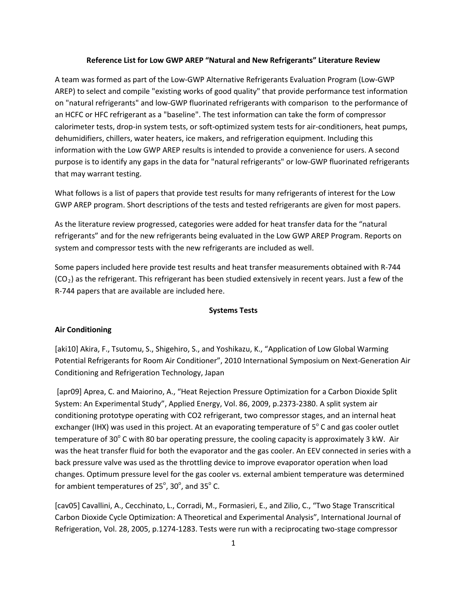## **Reference List for Low GWP AREP "Natural and New Refrigerants" Literature Review**

A team was formed as part of the Low-GWP Alternative Refrigerants Evaluation Program (Low-GWP AREP) to select and compile "existing works of good quality" that provide performance test information on "natural refrigerants" and low-GWP fluorinated refrigerants with comparison to the performance of an HCFC or HFC refrigerant as a "baseline". The test information can take the form of compressor calorimeter tests, drop-in system tests, or soft-optimized system tests for air-conditioners, heat pumps, dehumidifiers, chillers, water heaters, ice makers, and refrigeration equipment. Including this information with the Low GWP AREP results is intended to provide a convenience for users. A second purpose is to identify any gaps in the data for "natural refrigerants" or low-GWP fluorinated refrigerants that may warrant testing.

What follows is a list of papers that provide test results for many refrigerants of interest for the Low GWP AREP program. Short descriptions of the tests and tested refrigerants are given for most papers.

As the literature review progressed, categories were added for heat transfer data for the "natural refrigerants" and for the new refrigerants being evaluated in the Low GWP AREP Program. Reports on system and compressor tests with the new refrigerants are included as well.

Some papers included here provide test results and heat transfer measurements obtained with R-744  $(CO<sub>2</sub>)$  as the refrigerant. This refrigerant has been studied extensively in recent years. Just a few of the R-744 papers that are available are included here.

## **Systems Tests**

#### **Air Conditioning**

[aki10] Akira, F., Tsutomu, S., Shigehiro, S., and Yoshikazu, K., "Application of Low Global Warming Potential Refrigerants for Room Air Conditioner", 2010 International Symposium on Next-Generation Air Conditioning and Refrigeration Technology, Japan

[apr09] Aprea, C. and Maiorino, A., "Heat Rejection Pressure Optimization for a Carbon Dioxide Split System: An Experimental Study", Applied Energy, Vol. 86, 2009, p.2373-2380. A split system air conditioning prototype operating with CO2 refrigerant, two compressor stages, and an internal heat exchanger (IHX) was used in this project. At an evaporating temperature of  $5^\circ$  C and gas cooler outlet temperature of 30 $^{\circ}$  C with 80 bar operating pressure, the cooling capacity is approximately 3 kW. Air was the heat transfer fluid for both the evaporator and the gas cooler. An EEV connected in series with a back pressure valve was used as the throttling device to improve evaporator operation when load changes. Optimum pressure level for the gas cooler vs. external ambient temperature was determined for ambient temperatures of 25 $^{\circ}$ , 30 $^{\circ}$ , and 35 $^{\circ}$  C.

[cav05] Cavallini, A., Cecchinato, L., Corradi, M., Formasieri, E., and Zilio, C., "Two Stage Transcritical Carbon Dioxide Cycle Optimization: A Theoretical and Experimental Analysis", International Journal of Refrigeration, Vol. 28, 2005, p.1274-1283. Tests were run with a reciprocating two-stage compressor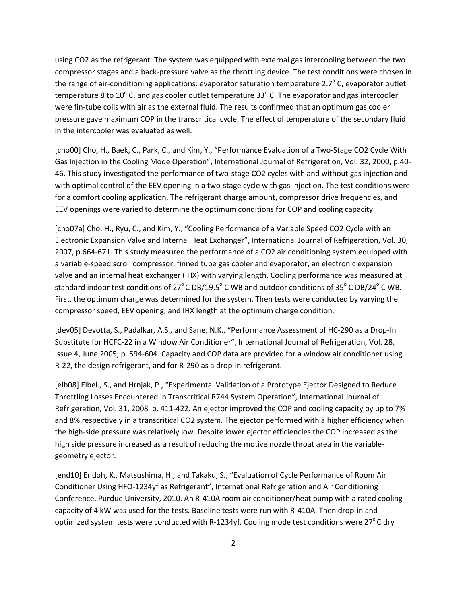using CO2 as the refrigerant. The system was equipped with external gas intercooling between the two compressor stages and a back-pressure valve as the throttling device. The test conditions were chosen in the range of air-conditioning applications: evaporator saturation temperature 2.7 $\degree$  C, evaporator outlet temperature 8 to  $10^{\circ}$  C, and gas cooler outlet temperature 33 $^{\circ}$  C. The evaporator and gas intercooler were fin-tube coils with air as the external fluid. The results confirmed that an optimum gas cooler pressure gave maximum COP in the transcritical cycle. The effect of temperature of the secondary fluid in the intercooler was evaluated as well.

[cho00] Cho, H., Baek, C., Park, C., and Kim, Y., "Performance Evaluation of a Two-Stage CO2 Cycle With Gas Injection in the Cooling Mode Operation", International Journal of Refrigeration, Vol. 32, 2000, p.40- 46. This study investigated the performance of two-stage CO2 cycles with and without gas injection and with optimal control of the EEV opening in a two-stage cycle with gas injection. The test conditions were for a comfort cooling application. The refrigerant charge amount, compressor drive frequencies, and EEV openings were varied to determine the optimum conditions for COP and cooling capacity.

[cho07a] Cho, H., Ryu, C., and Kim, Y., "Cooling Performance of a Variable Speed CO2 Cycle with an Electronic Expansion Valve and Internal Heat Exchanger", International Journal of Refrigeration, Vol. 30, 2007, p.664-671. This study measured the performance of a CO2 air conditioning system equipped with a variable-speed scroll compressor, finned tube gas cooler and evaporator, an electronic expansion valve and an internal heat exchanger (IHX) with varying length. Cooling performance was measured at standard indoor test conditions of  $27^{\circ}$ C DB/19.5°C WB and outdoor conditions of  $35^{\circ}$ C DB/24°C WB. First, the optimum charge was determined for the system. Then tests were conducted by varying the compressor speed, EEV opening, and IHX length at the optimum charge condition.

[dev05] Devotta, S., Padalkar, A.S., and Sane, N.K., "Performance Assessment of HC-290 as a Drop-In Substitute for HCFC-22 in a Window Air Conditioner", International Journal of Refrigeration, Vol. 28, Issue 4, June 2005, p. 594-604. Capacity and COP data are provided for a window air conditioner using R-22, the design refrigerant, and for R-290 as a drop-in refrigerant.

[elb08] Elbel., S., and Hrnjak, P., "Experimental Validation of a Prototype Ejector Designed to Reduce Throttling Losses Encountered in Transcritical R744 System Operation", International Journal of Refrigeration, Vol. 31, 2008 p. 411-422. An ejector improved the COP and cooling capacity by up to 7% and 8% respectively in a transcritical CO2 system. The ejector performed with a higher efficiency when the high-side pressure was relatively low. Despite lower ejector efficiencies the COP increased as the high side pressure increased as a result of reducing the motive nozzle throat area in the variablegeometry ejector.

[end10] Endoh, K., Matsushima, H., and Takaku, S., "Evaluation of Cycle Performance of Room Air Conditioner Using HFO-1234yf as Refrigerant", International Refrigeration and Air Conditioning Conference, Purdue University, 2010. An R-410A room air conditioner/heat pump with a rated cooling capacity of 4 kW was used for the tests. Baseline tests were run with R-410A. Then drop-in and optimized system tests were conducted with R-1234yf. Cooling mode test conditions were 27 $\degree$ C dry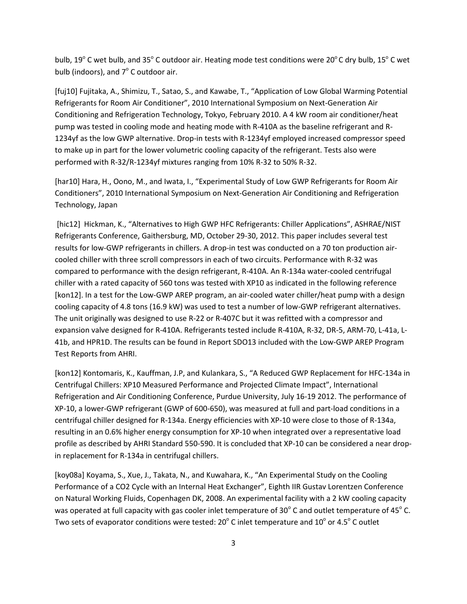bulb, 19 $^{\circ}$  C wet bulb, and 35 $^{\circ}$  C outdoor air. Heating mode test conditions were 20 $^{\circ}$  C dry bulb, 15 $^{\circ}$  C wet bulb (indoors), and  $7^\circ$  C outdoor air.

[fuj10] Fujitaka, A., Shimizu, T., Satao, S., and Kawabe, T., "Application of Low Global Warming Potential Refrigerants for Room Air Conditioner", 2010 International Symposium on Next-Generation Air Conditioning and Refrigeration Technology, Tokyo, February 2010. A 4 kW room air conditioner/heat pump was tested in cooling mode and heating mode with R-410A as the baseline refrigerant and R-1234yf as the low GWP alternative. Drop-in tests with R-1234yf employed increased compressor speed to make up in part for the lower volumetric cooling capacity of the refrigerant. Tests also were performed with R-32/R-1234yf mixtures ranging from 10% R-32 to 50% R-32.

[har10] Hara, H., Oono, M., and Iwata, I., "Experimental Study of Low GWP Refrigerants for Room Air Conditioners", 2010 International Symposium on Next-Generation Air Conditioning and Refrigeration Technology, Japan

[hic12] Hickman, K., "Alternatives to High GWP HFC Refrigerants: Chiller Applications", ASHRAE/NIST Refrigerants Conference, Gaithersburg, MD, October 29-30, 2012. This paper includes several test results for low-GWP refrigerants in chillers. A drop-in test was conducted on a 70 ton production aircooled chiller with three scroll compressors in each of two circuits. Performance with R-32 was compared to performance with the design refrigerant, R-410A. An R-134a water-cooled centrifugal chiller with a rated capacity of 560 tons was tested with XP10 as indicated in the following reference [kon12]. In a test for the Low-GWP AREP program, an air-cooled water chiller/heat pump with a design cooling capacity of 4.8 tons (16.9 kW) was used to test a number of low-GWP refrigerant alternatives. The unit originally was designed to use R-22 or R-407C but it was refitted with a compressor and expansion valve designed for R-410A. Refrigerants tested include R-410A, R-32, DR-5, ARM-70, L-41a, L-41b, and HPR1D. The results can be found in Report SDO13 included with the Low-GWP AREP Program Test Reports from AHRI.

[kon12] Kontomaris, K., Kauffman, J.P, and Kulankara, S., "A Reduced GWP Replacement for HFC-134a in Centrifugal Chillers: XP10 Measured Performance and Projected Climate Impact", International Refrigeration and Air Conditioning Conference, Purdue University, July 16-19 2012. The performance of XP-10, a lower-GWP refrigerant (GWP of 600-650), was measured at full and part-load conditions in a centrifugal chiller designed for R-134a. Energy efficiencies with XP-10 were close to those of R-134a, resulting in an 0.6% higher energy consumption for XP-10 when integrated over a representative load profile as described by AHRI Standard 550-590. It is concluded that XP-10 can be considered a near dropin replacement for R-134a in centrifugal chillers.

[koy08a] Koyama, S., Xue, J., Takata, N., and Kuwahara, K., "An Experimental Study on the Cooling Performance of a CO2 Cycle with an Internal Heat Exchanger", Eighth IIR Gustav Lorentzen Conference on Natural Working Fluids, Copenhagen DK, 2008. An experimental facility with a 2 kW cooling capacity was operated at full capacity with gas cooler inlet temperature of 30 $^{\circ}$  C and outlet temperature of 45 $^{\circ}$  C. Two sets of evaporator conditions were tested:  $20^{\circ}$  C inlet temperature and  $10^{\circ}$  or 4.5° C outlet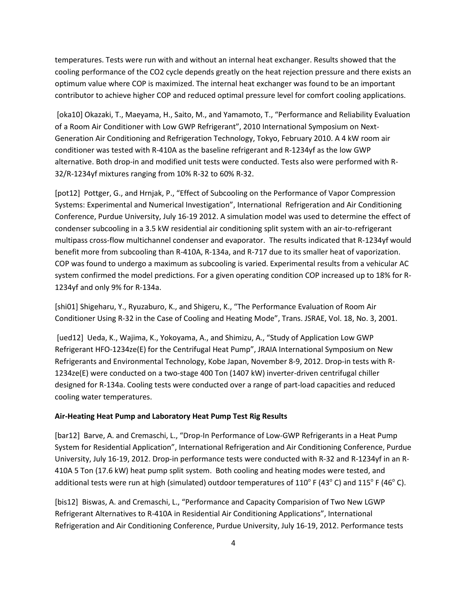temperatures. Tests were run with and without an internal heat exchanger. Results showed that the cooling performance of the CO2 cycle depends greatly on the heat rejection pressure and there exists an optimum value where COP is maximized. The internal heat exchanger was found to be an important contributor to achieve higher COP and reduced optimal pressure level for comfort cooling applications.

[oka10] Okazaki, T., Maeyama, H., Saito, M., and Yamamoto, T., "Performance and Reliability Evaluation of a Room Air Conditioner with Low GWP Refrigerant", 2010 International Symposium on Next-Generation Air Conditioning and Refrigeration Technology, Tokyo, February 2010. A 4 kW room air conditioner was tested with R-410A as the baseline refrigerant and R-1234yf as the low GWP alternative. Both drop-in and modified unit tests were conducted. Tests also were performed with R-32/R-1234yf mixtures ranging from 10% R-32 to 60% R-32.

[pot12] Pottger, G., and Hrnjak, P., "Effect of Subcooling on the Performance of Vapor Compression Systems: Experimental and Numerical Investigation", International Refrigeration and Air Conditioning Conference, Purdue University, July 16-19 2012. A simulation model was used to determine the effect of condenser subcooling in a 3.5 kW residential air conditioning split system with an air-to-refrigerant multipass cross-flow multichannel condenser and evaporator. The results indicated that R-1234yf would benefit more from subcooling than R-410A, R-134a, and R-717 due to its smaller heat of vaporization. COP was found to undergo a maximum as subcooling is varied. Experimental results from a vehicular AC system confirmed the model predictions. For a given operating condition COP increased up to 18% for R-1234yf and only 9% for R-134a.

[shi01] Shigeharu, Y., Ryuzaburo, K., and Shigeru, K., "The Performance Evaluation of Room Air Conditioner Using R-32 in the Case of Cooling and Heating Mode", Trans. JSRAE, Vol. 18, No. 3, 2001.

[ued12] Ueda, K., Wajima, K., Yokoyama, A., and Shimizu, A., "Study of Application Low GWP Refrigerant HFO-1234ze(E) for the Centrifugal Heat Pump", JRAIA International Symposium on New Refrigerants and Environmental Technology, Kobe Japan, November 8-9, 2012. Drop-in tests with R-1234ze(E) were conducted on a two-stage 400 Ton (1407 kW) inverter-driven centrifugal chiller designed for R-134a. Cooling tests were conducted over a range of part-load capacities and reduced cooling water temperatures.

#### **Air-Heating Heat Pump and Laboratory Heat Pump Test Rig Results**

[bar12] Barve, A. and Cremaschi, L., "Drop-In Performance of Low-GWP Refrigerants in a Heat Pump System for Residential Application", International Refrigeration and Air Conditioning Conference, Purdue University, July 16-19, 2012. Drop-in performance tests were conducted with R-32 and R-1234yf in an R-410A 5 Ton (17.6 kW) heat pump split system. Both cooling and heating modes were tested, and additional tests were run at high (simulated) outdoor temperatures of  $110^{\circ}$  F (43°C) and  $115^{\circ}$  F (46°C).

[bis12] Biswas, A. and Cremaschi, L., "Performance and Capacity Comparision of Two New LGWP Refrigerant Alternatives to R-410A in Residential Air Conditioning Applications", International Refrigeration and Air Conditioning Conference, Purdue University, July 16-19, 2012. Performance tests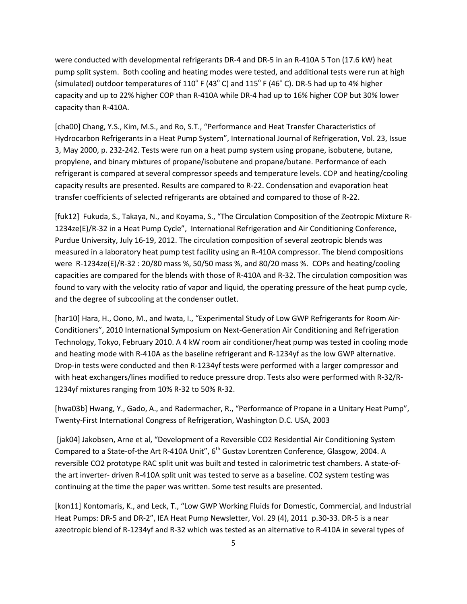were conducted with developmental refrigerants DR-4 and DR-5 in an R-410A 5 Ton (17.6 kW) heat pump split system. Both cooling and heating modes were tested, and additional tests were run at high (simulated) outdoor temperatures of 110 $^{\circ}$  F (43 $^{\circ}$  C) and 115 $^{\circ}$  F (46 $^{\circ}$  C). DR-5 had up to 4% higher capacity and up to 22% higher COP than R-410A while DR-4 had up to 16% higher COP but 30% lower capacity than R-410A.

[cha00] Chang, Y.S., Kim, M.S., and Ro, S.T., "Performance and Heat Transfer Characteristics of Hydrocarbon Refrigerants in a Heat Pump System", International Journal of Refrigeration, Vol. 23, Issue 3, May 2000, p. 232-242. Tests were run on a heat pump system using propane, isobutene, butane, propylene, and binary mixtures of propane/isobutene and propane/butane. Performance of each refrigerant is compared at several compressor speeds and temperature levels. COP and heating/cooling capacity results are presented. Results are compared to R-22. Condensation and evaporation heat transfer coefficients of selected refrigerants are obtained and compared to those of R-22.

[fuk12] Fukuda, S., Takaya, N., and Koyama, S., "The Circulation Composition of the Zeotropic Mixture R-1234ze(E)/R-32 in a Heat Pump Cycle", International Refrigeration and Air Conditioning Conference, Purdue University, July 16-19, 2012. The circulation composition of several zeotropic blends was measured in a laboratory heat pump test facility using an R-410A compressor. The blend compositions were R-1234ze(E)/R-32 : 20/80 mass %, 50/50 mass %, and 80/20 mass %. COPs and heating/cooling capacities are compared for the blends with those of R-410A and R-32. The circulation composition was found to vary with the velocity ratio of vapor and liquid, the operating pressure of the heat pump cycle, and the degree of subcooling at the condenser outlet.

[har10] Hara, H., Oono, M., and Iwata, I., "Experimental Study of Low GWP Refrigerants for Room Air-Conditioners", 2010 International Symposium on Next-Generation Air Conditioning and Refrigeration Technology, Tokyo, February 2010. A 4 kW room air conditioner/heat pump was tested in cooling mode and heating mode with R-410A as the baseline refrigerant and R-1234yf as the low GWP alternative. Drop-in tests were conducted and then R-1234yf tests were performed with a larger compressor and with heat exchangers/lines modified to reduce pressure drop. Tests also were performed with R-32/R-1234yf mixtures ranging from 10% R-32 to 50% R-32.

[hwa03b] Hwang, Y., Gado, A., and Radermacher, R., "Performance of Propane in a Unitary Heat Pump", Twenty-First International Congress of Refrigeration, Washington D.C. USA, 2003

[jak04] Jakobsen, Arne et al, "Development of a Reversible CO2 Residential Air Conditioning System Compared to a State-of-the Art R-410A Unit", 6<sup>th</sup> Gustav Lorentzen Conference, Glasgow, 2004. A reversible CO2 prototype RAC split unit was built and tested in calorimetric test chambers. A state-ofthe art inverter- driven R-410A split unit was tested to serve as a baseline. CO2 system testing was continuing at the time the paper was written. Some test results are presented.

[kon11] Kontomaris, K., and Leck, T., "Low GWP Working Fluids for Domestic, Commercial, and Industrial Heat Pumps: DR-5 and DR-2", IEA Heat Pump Newsletter, Vol. 29 (4), 2011 p.30-33. DR-5 is a near azeotropic blend of R-1234yf and R-32 which was tested as an alternative to R-410A in several types of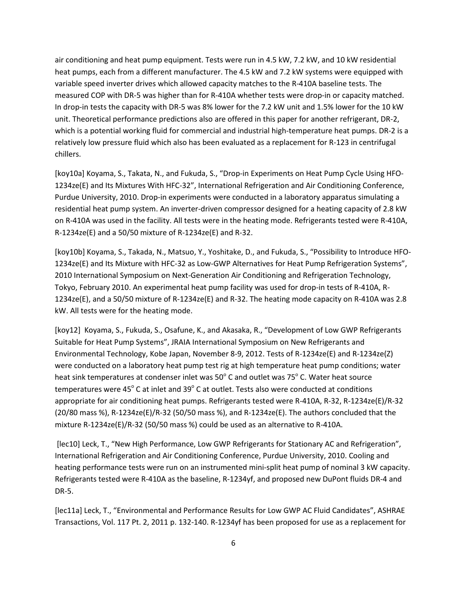air conditioning and heat pump equipment. Tests were run in 4.5 kW, 7.2 kW, and 10 kW residential heat pumps, each from a different manufacturer. The 4.5 kW and 7.2 kW systems were equipped with variable speed inverter drives which allowed capacity matches to the R-410A baseline tests. The measured COP with DR-5 was higher than for R-410A whether tests were drop-in or capacity matched. In drop-in tests the capacity with DR-5 was 8% lower for the 7.2 kW unit and 1.5% lower for the 10 kW unit. Theoretical performance predictions also are offered in this paper for another refrigerant, DR-2, which is a potential working fluid for commercial and industrial high-temperature heat pumps. DR-2 is a relatively low pressure fluid which also has been evaluated as a replacement for R-123 in centrifugal chillers.

[koy10a] Koyama, S., Takata, N., and Fukuda, S., "Drop-in Experiments on Heat Pump Cycle Using HFO-1234ze(E) and Its Mixtures With HFC-32", International Refrigeration and Air Conditioning Conference, Purdue University, 2010. Drop-in experiments were conducted in a laboratory apparatus simulating a residential heat pump system. An inverter-driven compressor designed for a heating capacity of 2.8 kW on R-410A was used in the facility. All tests were in the heating mode. Refrigerants tested were R-410A, R-1234ze(E) and a 50/50 mixture of R-1234ze(E) and R-32.

[koy10b] Koyama, S., Takada, N., Matsuo, Y., Yoshitake, D., and Fukuda, S., "Possibility to Introduce HFO-1234ze(E) and Its Mixture with HFC-32 as Low-GWP Alternatives for Heat Pump Refrigeration Systems", 2010 International Symposium on Next-Generation Air Conditioning and Refrigeration Technology, Tokyo, February 2010. An experimental heat pump facility was used for drop-in tests of R-410A, R-1234ze(E), and a 50/50 mixture of R-1234ze(E) and R-32. The heating mode capacity on R-410A was 2.8 kW. All tests were for the heating mode.

[koy12] Koyama, S., Fukuda, S., Osafune, K., and Akasaka, R., "Development of Low GWP Refrigerants Suitable for Heat Pump Systems", JRAIA International Symposium on New Refrigerants and Environmental Technology, Kobe Japan, November 8-9, 2012. Tests of R-1234ze(E) and R-1234ze(Z) were conducted on a laboratory heat pump test rig at high temperature heat pump conditions; water heat sink temperatures at condenser inlet was  $50^{\circ}$  C and outlet was 75 $^{\circ}$  C. Water heat source temperatures were  $45^{\circ}$  C at inlet and 39 $^{\circ}$  C at outlet. Tests also were conducted at conditions appropriate for air conditioning heat pumps. Refrigerants tested were R-410A, R-32, R-1234ze(E)/R-32  $(20/80$  mass %), R-1234ze(E)/R-32 (50/50 mass %), and R-1234ze(E). The authors concluded that the mixture R-1234ze(E)/R-32 (50/50 mass %) could be used as an alternative to R-410A.

[lec10] Leck, T., "New High Performance, Low GWP Refrigerants for Stationary AC and Refrigeration", International Refrigeration and Air Conditioning Conference, Purdue University, 2010. Cooling and heating performance tests were run on an instrumented mini-split heat pump of nominal 3 kW capacity. Refrigerants tested were R-410A as the baseline, R-1234yf, and proposed new DuPont fluids DR-4 and DR-5.

[lec11a] Leck, T., "Environmental and Performance Results for Low GWP AC Fluid Candidates", ASHRAE Transactions, Vol. 117 Pt. 2, 2011 p. 132-140. R-1234yf has been proposed for use as a replacement for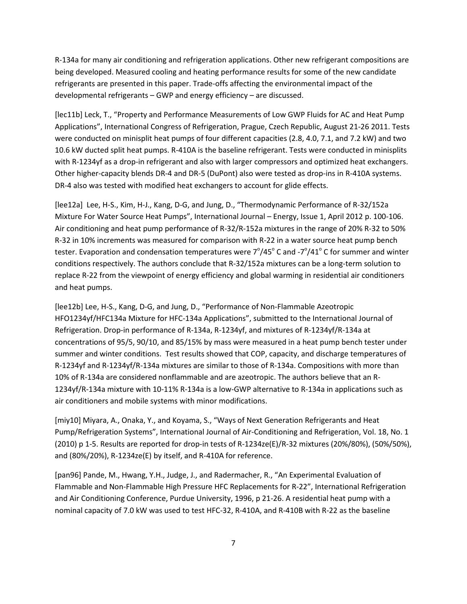R-134a for many air conditioning and refrigeration applications. Other new refrigerant compositions are being developed. Measured cooling and heating performance results for some of the new candidate refrigerants are presented in this paper. Trade-offs affecting the environmental impact of the developmental refrigerants – GWP and energy efficiency – are discussed.

[lec11b] Leck, T., "Property and Performance Measurements of Low GWP Fluids for AC and Heat Pump Applications", International Congress of Refrigeration, Prague, Czech Republic, August 21-26 2011. Tests were conducted on minisplit heat pumps of four different capacities (2.8, 4.0, 7.1, and 7.2 kW) and two 10.6 kW ducted split heat pumps. R-410A is the baseline refrigerant. Tests were conducted in minisplits with R-1234yf as a drop-in refrigerant and also with larger compressors and optimized heat exchangers. Other higher-capacity blends DR-4 and DR-5 (DuPont) also were tested as drop-ins in R-410A systems. DR-4 also was tested with modified heat exchangers to account for glide effects.

[lee12a] Lee, H-S., Kim, H-J., Kang, D-G, and Jung, D., "Thermodynamic Performance of R-32/152a Mixture For Water Source Heat Pumps", International Journal – Energy, Issue 1, April 2012 p. 100-106. Air conditioning and heat pump performance of R-32/R-152a mixtures in the range of 20% R-32 to 50% R-32 in 10% increments was measured for comparison with R-22 in a water source heat pump bench tester. Evaporation and condensation temperatures were  $7^{\circ}/45^{\circ}$  C and - $7^{\circ}/41^{\circ}$  C for summer and winter conditions respectively. The authors conclude that R-32/152a mixtures can be a long-term solution to replace R-22 from the viewpoint of energy efficiency and global warming in residential air conditioners and heat pumps.

[lee12b] Lee, H-S., Kang, D-G, and Jung, D., "Performance of Non-Flammable Azeotropic HFO1234yf/HFC134a Mixture for HFC-134a Applications", submitted to the International Journal of Refrigeration. Drop-in performance of R-134a, R-1234yf, and mixtures of R-1234yf/R-134a at concentrations of 95/5, 90/10, and 85/15% by mass were measured in a heat pump bench tester under summer and winter conditions. Test results showed that COP, capacity, and discharge temperatures of R-1234yf and R-1234yf/R-134a mixtures are similar to those of R-134a. Compositions with more than 10% of R-134a are considered nonflammable and are azeotropic. The authors believe that an R-1234yf/R-134a mixture with 10-11% R-134a is a low-GWP alternative to R-134a in applications such as air conditioners and mobile systems with minor modifications.

[miy10] Miyara, A., Onaka, Y., and Koyama, S., "Ways of Next Generation Refrigerants and Heat Pump/Refrigeration Systems", International Journal of Air-Conditioning and Refrigeration, Vol. 18, No. 1 (2010) p 1-5. Results are reported for drop-in tests of R-1234ze(E)/R-32 mixtures (20%/80%), (50%/50%), and (80%/20%), R-1234ze(E) by itself, and R-410A for reference.

[pan96] Pande, M., Hwang, Y.H., Judge, J., and Radermacher, R., "An Experimental Evaluation of Flammable and Non-Flammable High Pressure HFC Replacements for R-22", International Refrigeration and Air Conditioning Conference, Purdue University, 1996, p 21-26. A residential heat pump with a nominal capacity of 7.0 kW was used to test HFC-32, R-410A, and R-410B with R-22 as the baseline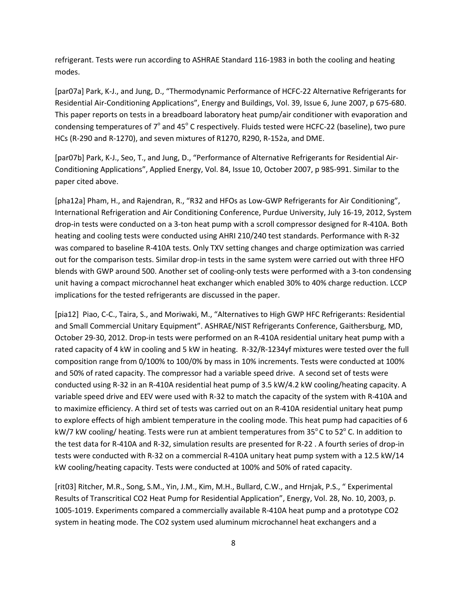refrigerant. Tests were run according to ASHRAE Standard 116-1983 in both the cooling and heating modes.

[par07a] Park, K-J., and Jung, D., "Thermodynamic Performance of HCFC-22 Alternative Refrigerants for Residential Air-Conditioning Applications", Energy and Buildings, Vol. 39, Issue 6, June 2007, p 675-680. This paper reports on tests in a breadboard laboratory heat pump/air conditioner with evaporation and condensing temperatures of  $7^{\circ}$  and  $45^{\circ}$  C respectively. Fluids tested were HCFC-22 (baseline), two pure HCs (R-290 and R-1270), and seven mixtures of R1270, R290, R-152a, and DME.

[par07b] Park, K-J., Seo, T., and Jung, D., "Performance of Alternative Refrigerants for Residential Air-Conditioning Applications", Applied Energy, Vol. 84, Issue 10, October 2007, p 985-991. Similar to the paper cited above.

[pha12a] Pham, H., and Rajendran, R., "R32 and HFOs as Low-GWP Refrigerants for Air Conditioning", International Refrigeration and Air Conditioning Conference, Purdue University, July 16-19, 2012, System drop-in tests were conducted on a 3-ton heat pump with a scroll compressor designed for R-410A. Both heating and cooling tests were conducted using AHRI 210/240 test standards. Performance with R-32 was compared to baseline R-410A tests. Only TXV setting changes and charge optimization was carried out for the comparison tests. Similar drop-in tests in the same system were carried out with three HFO blends with GWP around 500. Another set of cooling-only tests were performed with a 3-ton condensing unit having a compact microchannel heat exchanger which enabled 30% to 40% charge reduction. LCCP implications for the tested refrigerants are discussed in the paper.

[pia12] Piao, C-C., Taira, S., and Moriwaki, M., "Alternatives to High GWP HFC Refrigerants: Residential and Small Commercial Unitary Equipment". ASHRAE/NIST Refrigerants Conference, Gaithersburg, MD, October 29-30, 2012. Drop-in tests were performed on an R-410A residential unitary heat pump with a rated capacity of 4 kW in cooling and 5 kW in heating. R-32/R-1234yf mixtures were tested over the full composition range from 0/100% to 100/0% by mass in 10% increments. Tests were conducted at 100% and 50% of rated capacity. The compressor had a variable speed drive. A second set of tests were conducted using R-32 in an R-410A residential heat pump of 3.5 kW/4.2 kW cooling/heating capacity. A variable speed drive and EEV were used with R-32 to match the capacity of the system with R-410A and to maximize efficiency. A third set of tests was carried out on an R-410A residential unitary heat pump to explore effects of high ambient temperature in the cooling mode. This heat pump had capacities of 6 kW/7 kW cooling/ heating. Tests were run at ambient temperatures from  $35^{\circ}$ C to  $52^{\circ}$  C. In addition to the test data for R-410A and R-32, simulation results are presented for R-22 . A fourth series of drop-in tests were conducted with R-32 on a commercial R-410A unitary heat pump system with a 12.5 kW/14 kW cooling/heating capacity. Tests were conducted at 100% and 50% of rated capacity.

[rit03] Ritcher, M.R., Song, S.M., Yin, J.M., Kim, M.H., Bullard, C.W., and Hrnjak, P.S., " Experimental Results of Transcritical CO2 Heat Pump for Residential Application", Energy, Vol. 28, No. 10, 2003, p. 1005-1019. Experiments compared a commercially available R-410A heat pump and a prototype CO2 system in heating mode. The CO2 system used aluminum microchannel heat exchangers and a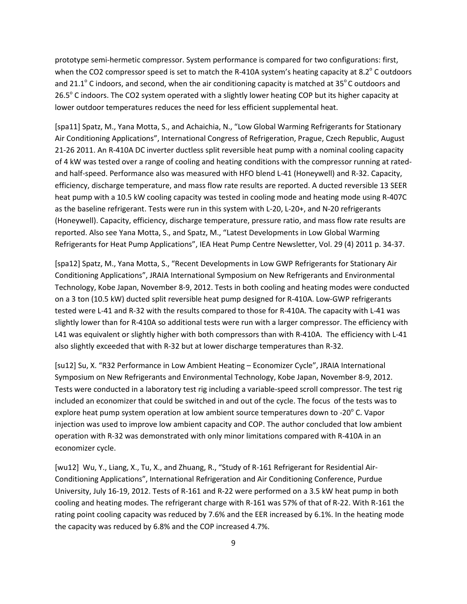prototype semi-hermetic compressor. System performance is compared for two configurations: first, when the CO2 compressor speed is set to match the R-410A system's heating capacity at 8.2 $^{\circ}$  C outdoors and 21.1 $^{\circ}$  C indoors, and second, when the air conditioning capacity is matched at 35 $^{\circ}$ C outdoors and 26.5° C indoors. The CO2 system operated with a slightly lower heating COP but its higher capacity at lower outdoor temperatures reduces the need for less efficient supplemental heat.

[spa11] Spatz, M., Yana Motta, S., and Achaichia, N., "Low Global Warming Refrigerants for Stationary Air Conditioning Applications", International Congress of Refrigeration, Prague, Czech Republic, August 21-26 2011. An R-410A DC inverter ductless split reversible heat pump with a nominal cooling capacity of 4 kW was tested over a range of cooling and heating conditions with the compressor running at ratedand half-speed. Performance also was measured with HFO blend L-41 (Honeywell) and R-32. Capacity, efficiency, discharge temperature, and mass flow rate results are reported. A ducted reversible 13 SEER heat pump with a 10.5 kW cooling capacity was tested in cooling mode and heating mode using R-407C as the baseline refrigerant. Tests were run in this system with L-20, L-20+, and N-20 refrigerants (Honeywell). Capacity, efficiency, discharge temperature, pressure ratio, and mass flow rate results are reported. Also see Yana Motta, S., and Spatz, M., "Latest Developments in Low Global Warming Refrigerants for Heat Pump Applications", IEA Heat Pump Centre Newsletter, Vol. 29 (4) 2011 p. 34-37.

[spa12] Spatz, M., Yana Motta, S., "Recent Developments in Low GWP Refrigerants for Stationary Air Conditioning Applications", JRAIA International Symposium on New Refrigerants and Environmental Technology, Kobe Japan, November 8-9, 2012. Tests in both cooling and heating modes were conducted on a 3 ton (10.5 kW) ducted split reversible heat pump designed for R-410A. Low-GWP refrigerants tested were L-41 and R-32 with the results compared to those for R-410A. The capacity with L-41 was slightly lower than for R-410A so additional tests were run with a larger compressor. The efficiency with L41 was equivalent or slightly higher with both compressors than with R-410A. The efficiency with L-41 also slightly exceeded that with R-32 but at lower discharge temperatures than R-32.

[su12] Su, X. "R32 Performance in Low Ambient Heating – Economizer Cycle", JRAIA International Symposium on New Refrigerants and Environmental Technology, Kobe Japan, November 8-9, 2012. Tests were conducted in a laboratory test rig including a variable-speed scroll compressor. The test rig included an economizer that could be switched in and out of the cycle. The focus of the tests was to explore heat pump system operation at low ambient source temperatures down to -20 $^{\circ}$  C. Vapor injection was used to improve low ambient capacity and COP. The author concluded that low ambient operation with R-32 was demonstrated with only minor limitations compared with R-410A in an economizer cycle.

[wu12] Wu, Y., Liang, X., Tu, X., and Zhuang, R., "Study of R-161 Refrigerant for Residential Air-Conditioning Applications", International Refrigeration and Air Conditioning Conference, Purdue University, July 16-19, 2012. Tests of R-161 and R-22 were performed on a 3.5 kW heat pump in both cooling and heating modes. The refrigerant charge with R-161 was 57% of that of R-22. With R-161 the rating point cooling capacity was reduced by 7.6% and the EER increased by 6.1%. In the heating mode the capacity was reduced by 6.8% and the COP increased 4.7%.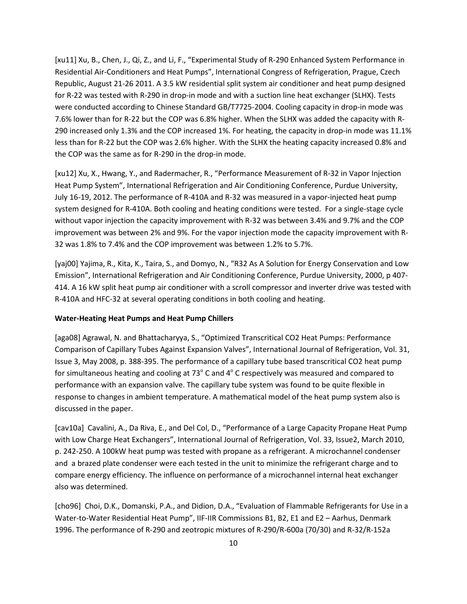[xu11] Xu, B., Chen, J., Qi, Z., and Li, F., "Experimental Study of R-290 Enhanced System Performance in Residential Air-Conditioners and Heat Pumps", International Congress of Refrigeration, Prague, Czech Republic, August 21-26 2011. A 3.5 kW residential split system air conditioner and heat pump designed for R-22 was tested with R-290 in drop-in mode and with a suction line heat exchanger (SLHX). Tests were conducted according to Chinese Standard GB/T7725-2004. Cooling capacity in drop-in mode was 7.6% lower than for R-22 but the COP was 6.8% higher. When the SLHX was added the capacity with R-290 increased only 1.3% and the COP increased 1%. For heating, the capacity in drop-in mode was 11.1% less than for R-22 but the COP was 2.6% higher. With the SLHX the heating capacity increased 0.8% and the COP was the same as for R-290 in the drop-in mode.

[xu12] Xu, X., Hwang, Y., and Radermacher, R., "Performance Measurement of R-32 in Vapor Injection Heat Pump System", International Refrigeration and Air Conditioning Conference, Purdue University, July 16-19, 2012. The performance of R-410A and R-32 was measured in a vapor-injected heat pump system designed for R-410A. Both cooling and heating conditions were tested. For a single-stage cycle without vapor injection the capacity improvement with R-32 was between 3.4% and 9.7% and the COP improvement was between 2% and 9%. For the vapor injection mode the capacity improvement with R-32 was 1.8% to 7.4% and the COP improvement was between 1.2% to 5.7%.

[yaj00] Yajima, R., Kita, K., Taira, S., and Domyo, N., "R32 As A Solution for Energy Conservation and Low Emission", International Refrigeration and Air Conditioning Conference, Purdue University, 2000, p 407- 414. A 16 kW split heat pump air conditioner with a scroll compressor and inverter drive was tested with R-410A and HFC-32 at several operating conditions in both cooling and heating.

# **Water-Heating Heat Pumps and Heat Pump Chillers**

[aga08] Agrawal, N. and Bhattacharyya, S., "Optimized Transcritical CO2 Heat Pumps: Performance Comparison of Capillary Tubes Against Expansion Valves", International Journal of Refrigeration, Vol. 31, Issue 3, May 2008, p. 388-395. The performance of a capillary tube based transcritical CO2 heat pump for simultaneous heating and cooling at 73 $^{\circ}$  C and 4 $^{\circ}$  C respectively was measured and compared to performance with an expansion valve. The capillary tube system was found to be quite flexible in response to changes in ambient temperature. A mathematical model of the heat pump system also is discussed in the paper.

[cav10a] Cavalini, A., Da Riva, E., and Del Col, D., "Performance of a Large Capacity Propane Heat Pump with Low Charge Heat Exchangers", International Journal of Refrigeration, Vol. 33, Issue2, March 2010, p. 242-250. A 100kW heat pump was tested with propane as a refrigerant. A microchannel condenser and a brazed plate condenser were each tested in the unit to minimize the refrigerant charge and to compare energy efficiency. The influence on performance of a microchannel internal heat exchanger also was determined.

[cho96] Choi, D.K., Domanski, P.A., and Didion, D.A., "Evaluation of Flammable Refrigerants for Use in a Water-to-Water Residential Heat Pump", IIF-IIR Commissions B1, B2, E1 and E2 – Aarhus, Denmark 1996. The performance of R-290 and zeotropic mixtures of R-290/R-600a (70/30) and R-32/R-152a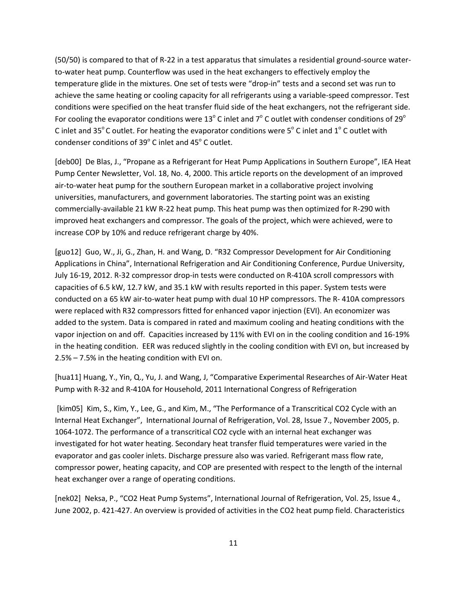(50/50) is compared to that of R-22 in a test apparatus that simulates a residential ground-source waterto-water heat pump. Counterflow was used in the heat exchangers to effectively employ the temperature glide in the mixtures. One set of tests were "drop-in" tests and a second set was run to achieve the same heating or cooling capacity for all refrigerants using a variable-speed compressor. Test conditions were specified on the heat transfer fluid side of the heat exchangers, not the refrigerant side. For cooling the evaporator conditions were 13<sup>o</sup> C inlet and  $7^{\circ}$  C outlet with condenser conditions of 29<sup>o</sup> C inlet and 35 $^{\circ}$ C outlet. For heating the evaporator conditions were 5 $^{\circ}$  C inlet and 1 $^{\circ}$ C outlet with condenser conditions of  $39^{\circ}$  C inlet and  $45^{\circ}$  C outlet.

[deb00] De Blas, J., "Propane as a Refrigerant for Heat Pump Applications in Southern Europe", IEA Heat Pump Center Newsletter, Vol. 18, No. 4, 2000. This article reports on the development of an improved air-to-water heat pump for the southern European market in a collaborative project involving universities, manufacturers, and government laboratories. The starting point was an existing commercially-available 21 kW R-22 heat pump. This heat pump was then optimized for R-290 with improved heat exchangers and compressor. The goals of the project, which were achieved, were to increase COP by 10% and reduce refrigerant charge by 40%.

[guo12] Guo, W., Ji, G., Zhan, H. and Wang, D. "R32 Compressor Development for Air Conditioning Applications in China", International Refrigeration and Air Conditioning Conference, Purdue University, July 16-19, 2012. R-32 compressor drop-in tests were conducted on R-410A scroll compressors with capacities of 6.5 kW, 12.7 kW, and 35.1 kW with results reported in this paper. System tests were conducted on a 65 kW air-to-water heat pump with dual 10 HP compressors. The R- 410A compressors were replaced with R32 compressors fitted for enhanced vapor injection (EVI). An economizer was added to the system. Data is compared in rated and maximum cooling and heating conditions with the vapor injection on and off. Capacities increased by 11% with EVI on in the cooling condition and 16-19% in the heating condition. EER was reduced slightly in the cooling condition with EVI on, but increased by 2.5% – 7.5% in the heating condition with EVI on.

[hua11] Huang, Y., Yin, Q., Yu, J. and Wang, J, "Comparative Experimental Researches of Air-Water Heat Pump with R-32 and R-410A for Household, 2011 International Congress of Refrigeration

[kim05] Kim, S., Kim, Y., Lee, G., and Kim, M., "The Performance of a Transcritical CO2 Cycle with an Internal Heat Exchanger", International Journal of Refrigeration, Vol. 28, Issue 7., November 2005, p. 1064-1072. The performance of a transcritical CO2 cycle with an internal heat exchanger was investigated for hot water heating. Secondary heat transfer fluid temperatures were varied in the evaporator and gas cooler inlets. Discharge pressure also was varied. Refrigerant mass flow rate, compressor power, heating capacity, and COP are presented with respect to the length of the internal heat exchanger over a range of operating conditions.

[nek02] Neksa, P., "CO2 Heat Pump Systems", International Journal of Refrigeration, Vol. 25, Issue 4., June 2002, p. 421-427. An overview is provided of activities in the CO2 heat pump field. Characteristics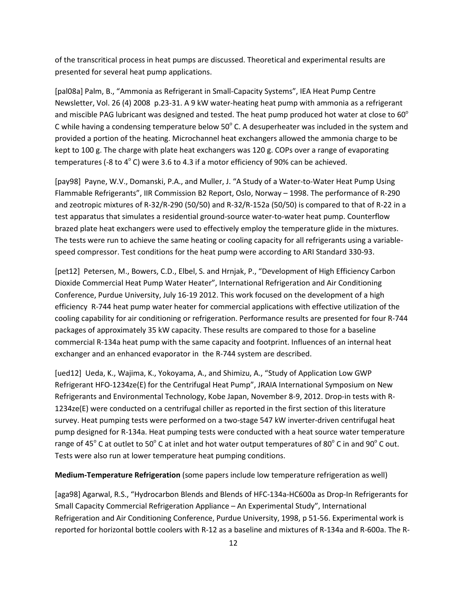of the transcritical process in heat pumps are discussed. Theoretical and experimental results are presented for several heat pump applications.

[pal08a] Palm, B., "Ammonia as Refrigerant in Small-Capacity Systems", IEA Heat Pump Centre Newsletter, Vol. 26 (4) 2008 p.23-31. A 9 kW water-heating heat pump with ammonia as a refrigerant and miscible PAG lubricant was designed and tested. The heat pump produced hot water at close to  $60^{\circ}$ C while having a condensing temperature below  $50^{\circ}$  C. A desuperheater was included in the system and provided a portion of the heating. Microchannel heat exchangers allowed the ammonia charge to be kept to 100 g. The charge with plate heat exchangers was 120 g. COPs over a range of evaporating temperatures (-8 to  $4^{\circ}$  C) were 3.6 to 4.3 if a motor efficiency of 90% can be achieved.

[pay98] Payne, W.V., Domanski, P.A., and Muller, J. "A Study of a Water-to-Water Heat Pump Using Flammable Refrigerants", IIR Commission B2 Report, Oslo, Norway – 1998. The performance of R-290 and zeotropic mixtures of R-32/R-290 (50/50) and R-32/R-152a (50/50) is compared to that of R-22 in a test apparatus that simulates a residential ground-source water-to-water heat pump. Counterflow brazed plate heat exchangers were used to effectively employ the temperature glide in the mixtures. The tests were run to achieve the same heating or cooling capacity for all refrigerants using a variablespeed compressor. Test conditions for the heat pump were according to ARI Standard 330-93.

[pet12] Petersen, M., Bowers, C.D., Elbel, S. and Hrnjak, P., "Development of High Efficiency Carbon Dioxide Commercial Heat Pump Water Heater", International Refrigeration and Air Conditioning Conference, Purdue University, July 16-19 2012. This work focused on the development of a high efficiency R-744 heat pump water heater for commercial applications with effective utilization of the cooling capability for air conditioning or refrigeration. Performance results are presented for four R-744 packages of approximately 35 kW capacity. These results are compared to those for a baseline commercial R-134a heat pump with the same capacity and footprint. Influences of an internal heat exchanger and an enhanced evaporator in the R-744 system are described.

[ued12] Ueda, K., Wajima, K., Yokoyama, A., and Shimizu, A., "Study of Application Low GWP Refrigerant HFO-1234ze(E) for the Centrifugal Heat Pump", JRAIA International Symposium on New Refrigerants and Environmental Technology, Kobe Japan, November 8-9, 2012. Drop-in tests with R-1234ze(E) were conducted on a centrifugal chiller as reported in the first section of this literature survey. Heat pumping tests were performed on a two-stage 547 kW inverter-driven centrifugal heat pump designed for R-134a. Heat pumping tests were conducted with a heat source water temperature range of 45 $^{\circ}$  C at outlet to 50 $^{\circ}$  C at inlet and hot water output temperatures of 80 $^{\circ}$  C in and 90 $^{\circ}$  C out. Tests were also run at lower temperature heat pumping conditions.

# **Medium-Temperature Refrigeration** (some papers include low temperature refrigeration as well)

[aga98] Agarwal, R.S., "Hydrocarbon Blends and Blends of HFC-134a-HC600a as Drop-In Refrigerants for Small Capacity Commercial Refrigeration Appliance – An Experimental Study", International Refrigeration and Air Conditioning Conference, Purdue University, 1998, p 51-56. Experimental work is reported for horizontal bottle coolers with R-12 as a baseline and mixtures of R-134a and R-600a. The R-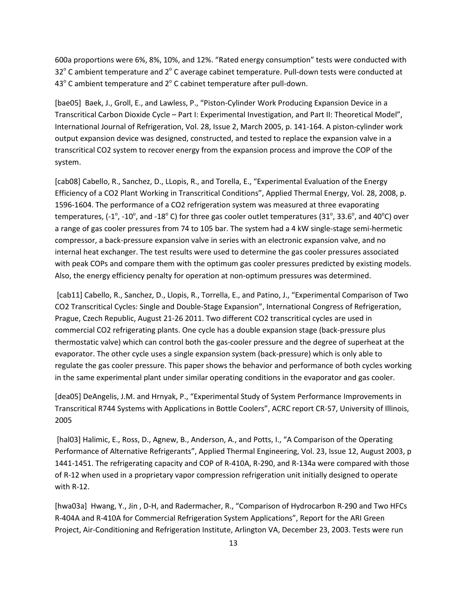600a proportions were 6%, 8%, 10%, and 12%. "Rated energy consumption" tests were conducted with  $32^{\circ}$  C ambient temperature and  $2^{\circ}$  C average cabinet temperature. Pull-down tests were conducted at  $43^{\circ}$  C ambient temperature and  $2^{\circ}$  C cabinet temperature after pull-down.

[bae05] Baek, J., Groll, E., and Lawless, P., "Piston-Cylinder Work Producing Expansion Device in a Transcritical Carbon Dioxide Cycle – Part I: Experimental Investigation, and Part II: Theoretical Model", International Journal of Refrigeration, Vol. 28, Issue 2, March 2005, p. 141-164. A piston-cylinder work output expansion device was designed, constructed, and tested to replace the expansion valve in a transcritical CO2 system to recover energy from the expansion process and improve the COP of the system.

[cab08] Cabello, R., Sanchez, D., LLopis, R., and Torella, E., "Experimental Evaluation of the Energy Efficiency of a CO2 Plant Working in Transcritical Conditions", Applied Thermal Energy, Vol. 28, 2008, p. 1596-1604. The performance of a CO2 refrigeration system was measured at three evaporating temperatures, (-1°, -10°, and -18° C) for three gas cooler outlet temperatures (31°, 33.6°, and 40°C) over a range of gas cooler pressures from 74 to 105 bar. The system had a 4 kW single-stage semi-hermetic compressor, a back-pressure expansion valve in series with an electronic expansion valve, and no internal heat exchanger. The test results were used to determine the gas cooler pressures associated with peak COPs and compare them with the optimum gas cooler pressures predicted by existing models. Also, the energy efficiency penalty for operation at non-optimum pressures was determined.

[cab11] Cabello, R., Sanchez, D., Llopis, R., Torrella, E., and Patino, J., "Experimental Comparison of Two CO2 Transcritical Cycles: Single and Double-Stage Expansion", International Congress of Refrigeration, Prague, Czech Republic, August 21-26 2011. Two different CO2 transcritical cycles are used in commercial CO2 refrigerating plants. One cycle has a double expansion stage (back-pressure plus thermostatic valve) which can control both the gas-cooler pressure and the degree of superheat at the evaporator. The other cycle uses a single expansion system (back-pressure) which is only able to regulate the gas cooler pressure. This paper shows the behavior and performance of both cycles working in the same experimental plant under similar operating conditions in the evaporator and gas cooler.

[dea05] DeAngelis, J.M. and Hrnyak, P., "Experimental Study of System Performance Improvements in Transcritical R744 Systems with Applications in Bottle Coolers", ACRC report CR-57, University of Illinois, 2005

[hal03] Halimic, E., Ross, D., Agnew, B., Anderson, A., and Potts, I., "A Comparison of the Operating Performance of Alternative Refrigerants", Applied Thermal Engineering, Vol. 23, Issue 12, August 2003, p 1441-1451. The refrigerating capacity and COP of R-410A, R-290, and R-134a were compared with those of R-12 when used in a proprietary vapor compression refrigeration unit initially designed to operate with R-12.

[hwa03a] Hwang, Y., Jin , D-H, and Radermacher, R., "Comparison of Hydrocarbon R-290 and Two HFCs R-404A and R-410A for Commercial Refrigeration System Applications", Report for the ARI Green Project, Air-Conditioning and Refrigeration Institute, Arlington VA, December 23, 2003. Tests were run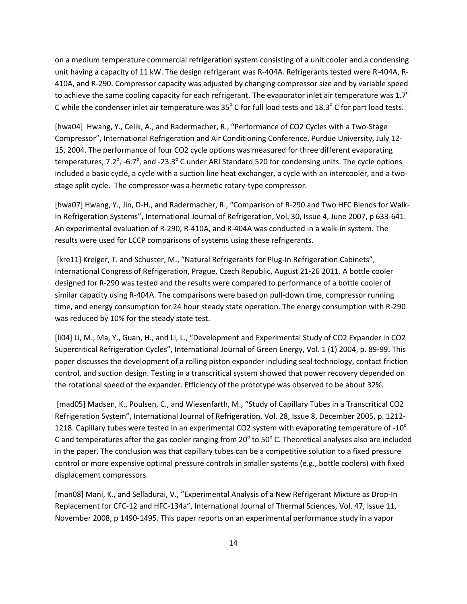on a medium temperature commercial refrigeration system consisting of a unit cooler and a condensing unit having a capacity of 11 kW. The design refrigerant was R-404A. Refrigerants tested were R-404A, R-410A, and R-290. Compressor capacity was adjusted by changing compressor size and by variable speed to achieve the same cooling capacity for each refrigerant. The evaporator inlet air temperature was  $1.7^\circ$ C while the condenser inlet air temperature was  $35^{\circ}$  C for full load tests and  $18.3^{\circ}$  C for part load tests.

[hwa04] Hwang, Y., Celik, A., and Radermacher, R., "Performance of CO2 Cycles with a Two-Stage Compressor", International Refrigeration and Air Conditioning Conference, Purdue University, July 12- 15, 2004. The performance of four CO2 cycle options was measured for three different evaporating temperatures; 7.2 $^{\circ}$ , -6.7 $^{\circ}$ , and -23.3 $^{\circ}$  C under ARI Standard 520 for condensing units. The cycle options included a basic cycle, a cycle with a suction line heat exchanger, a cycle with an intercooler, and a twostage split cycle. The compressor was a hermetic rotary-type compressor.

[hwa07] Hwang, Y., Jin, D-H., and Radermacher, R., "Comparison of R-290 and Two HFC Blends for Walk-In Refrigeration Systems", International Journal of Refrigeration, Vol. 30, Issue 4, June 2007, p 633-641. An experimental evaluation of R-290, R-410A, and R-404A was conducted in a walk-in system. The results were used for LCCP comparisons of systems using these refrigerants.

[kre11] Kreiger, T. and Schuster, M., "Natural Refrigerants for Plug-In Refrigeration Cabinets", International Congress of Refrigeration, Prague, Czech Republic, August 21-26 2011. A bottle cooler designed for R-290 was tested and the results were compared to performance of a bottle cooler of similar capacity using R-404A. The comparisons were based on pull-down time, compressor running time, and energy consumption for 24 hour steady state operation. The energy consumption with R-290 was reduced by 10% for the steady state test.

[li04] Li, M., Ma, Y., Guan, H., and Li, L., "Development and Experimental Study of CO2 Expander in CO2 Supercritical Refrigeration Cycles", International Journal of Green Energy, Vol. 1 (1) 2004, p. 89-99. This paper discusses the development of a rolling piston expander including seal technology, contact friction control, and suction design. Testing in a transcritical system showed that power recovery depended on the rotational speed of the expander. Efficiency of the prototype was observed to be about 32%.

[mad05] Madsen, K., Poulsen, C., and Wiesenfarth, M., "Study of Capillary Tubes in a Transcritical CO2 Refrigeration System", International Journal of Refrigeration, Vol. 28, Issue 8, December 2005, p. 1212- 1218. Capillary tubes were tested in an experimental CO2 system with evaporating temperature of -10 $^{\circ}$ C and temperatures after the gas cooler ranging from 20 $^{\circ}$  to 50 $^{\circ}$  C. Theoretical analyses also are included in the paper. The conclusion was that capillary tubes can be a competitive solution to a fixed pressure control or more expensive optimal pressure controls in smaller systems (e.g., bottle coolers) with fixed displacement compressors.

[man08] Mani, K., and Selladurai, V., "Experimental Analysis of a New Refrigerant Mixture as Drop-In Replacement for CFC-12 and HFC-134a", International Journal of Thermal Sciences, Vol. 47, Issue 11, November 2008, p 1490-1495. This paper reports on an experimental performance study in a vapor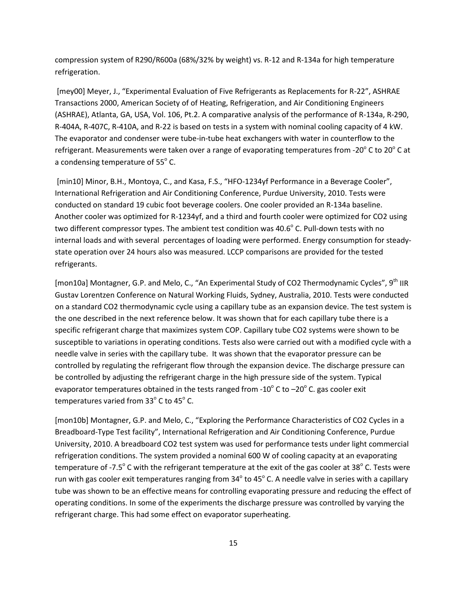compression system of R290/R600a (68%/32% by weight) vs. R-12 and R-134a for high temperature refrigeration.

[mey00] Meyer, J., "Experimental Evaluation of Five Refrigerants as Replacements for R-22", ASHRAE Transactions 2000, American Society of of Heating, Refrigeration, and Air Conditioning Engineers (ASHRAE), Atlanta, GA, USA, Vol. 106, Pt.2. A comparative analysis of the performance of R-134a, R-290, R-404A, R-407C, R-410A, and R-22 is based on tests in a system with nominal cooling capacity of 4 kW. The evaporator and condenser were tube-in-tube heat exchangers with water in counterflow to the refrigerant. Measurements were taken over a range of evaporating temperatures from -20 $^{\circ}$  C to 20 $^{\circ}$  C at a condensing temperature of  $55^{\circ}$  C.

[min10] Minor, B.H., Montoya, C., and Kasa, F.S., "HFO-1234yf Performance in a Beverage Cooler", International Refrigeration and Air Conditioning Conference, Purdue University, 2010. Tests were conducted on standard 19 cubic foot beverage coolers. One cooler provided an R-134a baseline. Another cooler was optimized for R-1234yf, and a third and fourth cooler were optimized for CO2 using two different compressor types. The ambient test condition was  $40.6^{\circ}$  C. Pull-down tests with no internal loads and with several percentages of loading were performed. Energy consumption for steadystate operation over 24 hours also was measured. LCCP comparisons are provided for the tested refrigerants.

[mon10a] Montagner, G.P. and Melo, C., "An Experimental Study of CO2 Thermodynamic Cycles", 9<sup>th</sup> IIR Gustav Lorentzen Conference on Natural Working Fluids, Sydney, Australia, 2010. Tests were conducted on a standard CO2 thermodynamic cycle using a capillary tube as an expansion device. The test system is the one described in the next reference below. It was shown that for each capillary tube there is a specific refrigerant charge that maximizes system COP. Capillary tube CO2 systems were shown to be susceptible to variations in operating conditions. Tests also were carried out with a modified cycle with a needle valve in series with the capillary tube. It was shown that the evaporator pressure can be controlled by regulating the refrigerant flow through the expansion device. The discharge pressure can be controlled by adjusting the refrigerant charge in the high pressure side of the system. Typical evaporator temperatures obtained in the tests ranged from -10 $^{\circ}$  C to  $-20^{\circ}$  C. gas cooler exit temperatures varied from  $33^\circ$  C to  $45^\circ$  C.

[mon10b] Montagner, G.P. and Melo, C., "Exploring the Performance Characteristics of CO2 Cycles in a Breadboard-Type Test facility", International Refrigeration and Air Conditioning Conference, Purdue University, 2010. A breadboard CO2 test system was used for performance tests under light commercial refrigeration conditions. The system provided a nominal 600 W of cooling capacity at an evaporating temperature of -7.5 $\degree$  C with the refrigerant temperature at the exit of the gas cooler at 38 $\degree$  C. Tests were run with gas cooler exit temperatures ranging from  $34^{\circ}$  to 45 $^{\circ}$  C. A needle valve in series with a capillary tube was shown to be an effective means for controlling evaporating pressure and reducing the effect of operating conditions. In some of the experiments the discharge pressure was controlled by varying the refrigerant charge. This had some effect on evaporator superheating.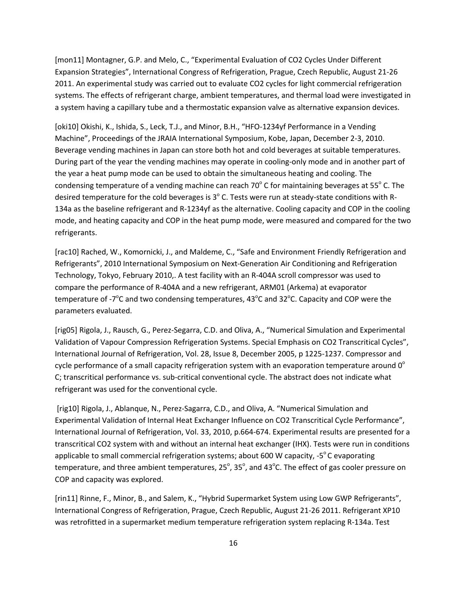[mon11] Montagner, G.P. and Melo, C., "Experimental Evaluation of CO2 Cycles Under Different Expansion Strategies", International Congress of Refrigeration, Prague, Czech Republic, August 21-26 2011. An experimental study was carried out to evaluate CO2 cycles for light commercial refrigeration systems. The effects of refrigerant charge, ambient temperatures, and thermal load were investigated in a system having a capillary tube and a thermostatic expansion valve as alternative expansion devices.

[oki10] Okishi, K., Ishida, S., Leck, T.J., and Minor, B.H., "HFO-1234yf Performance in a Vending Machine", Proceedings of the JRAIA International Symposium, Kobe, Japan, December 2-3, 2010. Beverage vending machines in Japan can store both hot and cold beverages at suitable temperatures. During part of the year the vending machines may operate in cooling-only mode and in another part of the year a heat pump mode can be used to obtain the simultaneous heating and cooling. The condensing temperature of a vending machine can reach 70 $\degree$  C for maintaining beverages at 55 $\degree$  C. The desired temperature for the cold beverages is  $3^\circ$  C. Tests were run at steady-state conditions with R-134a as the baseline refrigerant and R-1234yf as the alternative. Cooling capacity and COP in the cooling mode, and heating capacity and COP in the heat pump mode, were measured and compared for the two refrigerants.

[rac10] Rached, W., Komornicki, J., and Maldeme, C., "Safe and Environment Friendly Refrigeration and Refrigerants", 2010 International Symposium on Next-Generation Air Conditioning and Refrigeration Technology, Tokyo, February 2010,. A test facility with an R-404A scroll compressor was used to compare the performance of R-404A and a new refrigerant, ARM01 (Arkema) at evaporator temperature of -7<sup>o</sup>C and two condensing temperatures, 43<sup>o</sup>C and 32<sup>o</sup>C. Capacity and COP were the parameters evaluated.

[rig05] Rigola, J., Rausch, G., Perez-Segarra, C.D. and Oliva, A., "Numerical Simulation and Experimental Validation of Vapour Compression Refrigeration Systems. Special Emphasis on CO2 Transcritical Cycles", International Journal of Refrigeration, Vol. 28, Issue 8, December 2005, p 1225-1237. Compressor and cycle performance of a small capacity refrigeration system with an evaporation temperature around  $0^{\circ}$ C; transcritical performance vs. sub-critical conventional cycle. The abstract does not indicate what refrigerant was used for the conventional cycle.

[rig10] Rigola, J., Ablanque, N., Perez-Sagarra, C.D., and Oliva, A. "Numerical Simulation and Experimental Validation of Internal Heat Exchanger Influence on CO2 Transcritical Cycle Performance", International Journal of Refrigeration, Vol. 33, 2010, p.664-674. Experimental results are presented for a transcritical CO2 system with and without an internal heat exchanger (IHX). Tests were run in conditions applicable to small commercial refrigeration systems; about 600 W capacity,  $-5^{\circ}$  C evaporating temperature, and three ambient temperatures, 25 $^{\circ}$ , 35 $^{\circ}$ , and 43 $^{\circ}$ C. The effect of gas cooler pressure on COP and capacity was explored.

[rin11] Rinne, F., Minor, B., and Salem, K., "Hybrid Supermarket System using Low GWP Refrigerants", International Congress of Refrigeration, Prague, Czech Republic, August 21-26 2011. Refrigerant XP10 was retrofitted in a supermarket medium temperature refrigeration system replacing R-134a. Test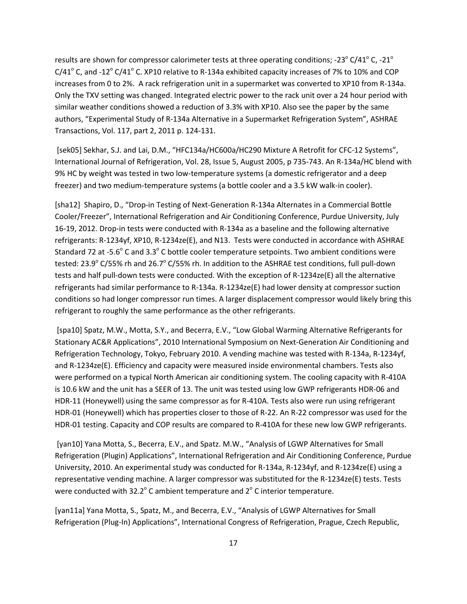results are shown for compressor calorimeter tests at three operating conditions; -23 $^{\circ}$  C/41 $^{\circ}$  C, -21 $^{\circ}$  $C/41^{\circ}$  C, and -12 $^{\circ}$  C/41 $^{\circ}$  C. XP10 relative to R-134a exhibited capacity increases of 7% to 10% and COP increases from 0 to 2%. A rack refrigeration unit in a supermarket was converted to XP10 from R-134a. Only the TXV setting was changed. Integrated electric power to the rack unit over a 24 hour period with similar weather conditions showed a reduction of 3.3% with XP10. Also see the paper by the same authors, "Experimental Study of R-134a Alternative in a Supermarket Refrigeration System", ASHRAE Transactions, Vol. 117, part 2, 2011 p. 124-131.

[sek05] Sekhar, S.J. and Lai, D.M., "HFC134a/HC600a/HC290 Mixture A Retrofit for CFC-12 Systems", International Journal of Refrigeration, Vol. 28, Issue 5, August 2005, p 735-743. An R-134a/HC blend with 9% HC by weight was tested in two low-temperature systems (a domestic refrigerator and a deep freezer) and two medium-temperature systems (a bottle cooler and a 3.5 kW walk-in cooler).

[sha12] Shapiro, D., "Drop-in Testing of Next-Generation R-134a Alternates in a Commercial Bottle Cooler/Freezer", International Refrigeration and Air Conditioning Conference, Purdue University, July 16-19, 2012. Drop-in tests were conducted with R-134a as a baseline and the following alternative refrigerants: R-1234yf, XP10, R-1234ze(E), and N13. Tests were conducted in accordance with ASHRAE Standard 72 at -5.6 $^{\circ}$  C and 3.3 $^{\circ}$  C bottle cooler temperature setpoints. Two ambient conditions were tested: 23.9 $\degree$  C/55% rh and 26.7 $\degree$  C/55% rh. In addition to the ASHRAE test conditions, full pull-down tests and half pull-down tests were conducted. With the exception of R-1234ze(E) all the alternative refrigerants had similar performance to R-134a. R-1234ze(E) had lower density at compressor suction conditions so had longer compressor run times. A larger displacement compressor would likely bring this refrigerant to roughly the same performance as the other refrigerants.

[spa10] Spatz, M.W., Motta, S.Y., and Becerra, E.V., "Low Global Warming Alternative Refrigerants for Stationary AC&R Applications", 2010 International Symposium on Next-Generation Air Conditioning and Refrigeration Technology, Tokyo, February 2010. A vending machine was tested with R-134a, R-1234yf, and R-1234ze(E). Efficiency and capacity were measured inside environmental chambers. Tests also were performed on a typical North American air conditioning system. The cooling capacity with R-410A is 10.6 kW and the unit has a SEER of 13. The unit was tested using low GWP refrigerants HDR-06 and HDR-11 (Honeywell) using the same compressor as for R-410A. Tests also were run using refrigerant HDR-01 (Honeywell) which has properties closer to those of R-22. An R-22 compressor was used for the HDR-01 testing. Capacity and COP results are compared to R-410A for these new low GWP refrigerants.

[yan10] Yana Motta, S., Becerra, E.V., and Spatz. M.W., "Analysis of LGWP Alternatives for Small Refrigeration (Plugin) Applications", International Refrigeration and Air Conditioning Conference, Purdue University, 2010. An experimental study was conducted for R-134a, R-1234yf, and R-1234ze(E) using a representative vending machine. A larger compressor was substituted for the R-1234ze(E) tests. Tests were conducted with  $32.2^{\circ}$  C ambient temperature and  $2^{\circ}$  C interior temperature.

[yan11a] Yana Motta, S., Spatz, M., and Becerra, E.V., "Analysis of LGWP Alternatives for Small Refrigeration (Plug-In) Applications", International Congress of Refrigeration, Prague, Czech Republic,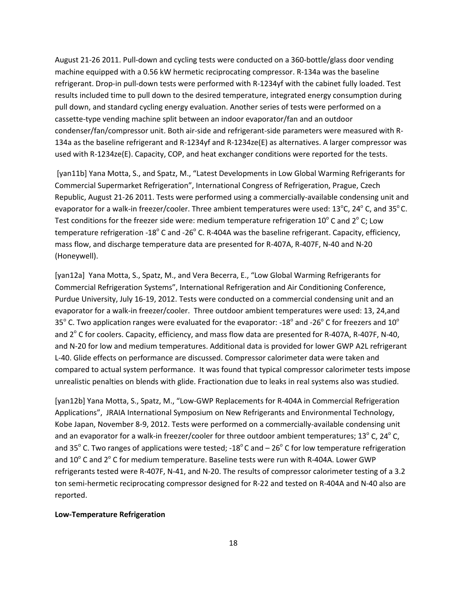August 21-26 2011. Pull-down and cycling tests were conducted on a 360-bottle/glass door vending machine equipped with a 0.56 kW hermetic reciprocating compressor. R-134a was the baseline refrigerant. Drop-in pull-down tests were performed with R-1234yf with the cabinet fully loaded. Test results included time to pull down to the desired temperature, integrated energy consumption during pull down, and standard cycling energy evaluation. Another series of tests were performed on a cassette-type vending machine split between an indoor evaporator/fan and an outdoor condenser/fan/compressor unit. Both air-side and refrigerant-side parameters were measured with R-134a as the baseline refrigerant and R-1234yf and R-1234ze(E) as alternatives. A larger compressor was used with R-1234ze(E). Capacity, COP, and heat exchanger conditions were reported for the tests.

[yan11b] Yana Motta, S., and Spatz, M., "Latest Developments in Low Global Warming Refrigerants for Commercial Supermarket Refrigeration", International Congress of Refrigeration, Prague, Czech Republic, August 21-26 2011. Tests were performed using a commercially-available condensing unit and evaporator for a walk-in freezer/cooler. Three ambient temperatures were used:  $13^{\circ}$ C,  $24^{\circ}$ C, and  $35^{\circ}$ C. Test conditions for the freezer side were: medium temperature refrigeration  $10^{\circ}$  C and  $2^{\circ}$  C; Low temperature refrigeration -18 $^{\circ}$  C and -26 $^{\circ}$  C. R-404A was the baseline refrigerant. Capacity, efficiency, mass flow, and discharge temperature data are presented for R-407A, R-407F, N-40 and N-20 (Honeywell).

[yan12a] Yana Motta, S., Spatz, M., and Vera Becerra, E., "Low Global Warming Refrigerants for Commercial Refrigeration Systems", International Refrigeration and Air Conditioning Conference, Purdue University, July 16-19, 2012. Tests were conducted on a commercial condensing unit and an evaporator for a walk-in freezer/cooler. Three outdoor ambient temperatures were used: 13, 24,and 35 $\degree$  C. Two application ranges were evaluated for the evaporator: -18 $\degree$  and -26 $\degree$  C for freezers and 10 $\degree$ and  $2^\circ$  C for coolers. Capacity, efficiency, and mass flow data are presented for R-407A, R-407F, N-40, and N-20 for low and medium temperatures. Additional data is provided for lower GWP A2L refrigerant L-40. Glide effects on performance are discussed. Compressor calorimeter data were taken and compared to actual system performance. It was found that typical compressor calorimeter tests impose unrealistic penalties on blends with glide. Fractionation due to leaks in real systems also was studied.

[yan12b] Yana Motta, S., Spatz, M., "Low-GWP Replacements for R-404A in Commercial Refrigeration Applications", JRAIA International Symposium on New Refrigerants and Environmental Technology, Kobe Japan, November 8-9, 2012. Tests were performed on a commercially-available condensing unit and an evaporator for a walk-in freezer/cooler for three outdoor ambient temperatures;  $13^{\circ}$  C,  $24^{\circ}$  C, and 35 $^{\circ}$  C. Two ranges of applications were tested; -18 $^{\circ}$  C and – 26 $^{\circ}$  C for low temperature refrigeration and 10° C and 2° C for medium temperature. Baseline tests were run with R-404A. Lower GWP refrigerants tested were R-407F, N-41, and N-20. The results of compressor calorimeter testing of a 3.2 ton semi-hermetic reciprocating compressor designed for R-22 and tested on R-404A and N-40 also are reported.

### **Low-Temperature Refrigeration**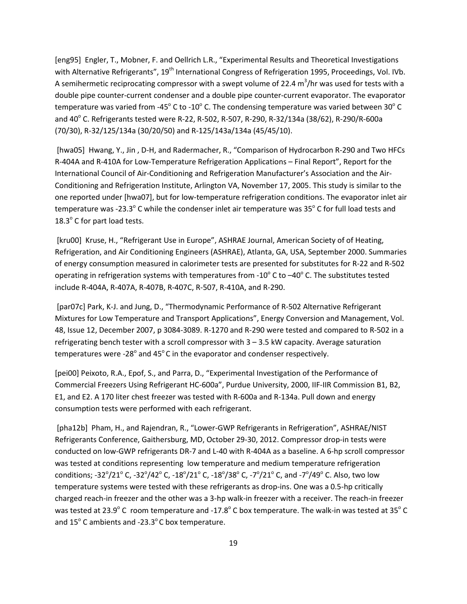[eng95] Engler, T., Mobner, F. and Oellrich L.R., "Experimental Results and Theoretical Investigations with Alternative Refrigerants", 19<sup>th</sup> International Congress of Refrigeration 1995, Proceedings, Vol. IVb. A semihermetic reciprocating compressor with a swept volume of 22.4  $m^3$ /hr was used for tests with a double pipe counter-current condenser and a double pipe counter-current evaporator. The evaporator temperature was varied from -45 $^{\circ}$  C to -10 $^{\circ}$  C. The condensing temperature was varied between 30 $^{\circ}$  C and 40° C. Refrigerants tested were R-22, R-502, R-507, R-290, R-32/134a (38/62), R-290/R-600a (70/30), R-32/125/134a (30/20/50) and R-125/143a/134a (45/45/10).

[hwa05] Hwang, Y., Jin , D-H, and Radermacher, R., "Comparison of Hydrocarbon R-290 and Two HFCs R-404A and R-410A for Low-Temperature Refrigeration Applications – Final Report", Report for the International Council of Air-Conditioning and Refrigeration Manufacturer's Association and the Air-Conditioning and Refrigeration Institute, Arlington VA, November 17, 2005. This study is similar to the one reported under [hwa07], but for low-temperature refrigeration conditions. The evaporator inlet air temperature was -23.3 $^{\circ}$  C while the condenser inlet air temperature was 35 $^{\circ}$  C for full load tests and  $18.3^{\circ}$  C for part load tests.

[kru00] Kruse, H., "Refrigerant Use in Europe", ASHRAE Journal, American Society of of Heating, Refrigeration, and Air Conditioning Engineers (ASHRAE), Atlanta, GA, USA, September 2000. Summaries of energy consumption measured in calorimeter tests are presented for substitutes for R-22 and R-502 operating in refrigeration systems with temperatures from -10 $\degree$  C to -40 $\degree$  C. The substitutes tested include R-404A, R-407A, R-407B, R-407C, R-507, R-410A, and R-290.

[par07c] Park, K-J. and Jung, D., "Thermodynamic Performance of R-502 Alternative Refrigerant Mixtures for Low Temperature and Transport Applications", Energy Conversion and Management, Vol. 48, Issue 12, December 2007, p 3084-3089. R-1270 and R-290 were tested and compared to R-502 in a refrigerating bench tester with a scroll compressor with 3 – 3.5 kW capacity. Average saturation temperatures were -28 $^{\circ}$  and 45 $^{\circ}$ C in the evaporator and condenser respectively.

[pei00] Peixoto, R.A., Epof, S., and Parra, D., "Experimental Investigation of the Performance of Commercial Freezers Using Refrigerant HC-600a", Purdue University, 2000, IIF-IIR Commission B1, B2, E1, and E2. A 170 liter chest freezer was tested with R-600a and R-134a. Pull down and energy consumption tests were performed with each refrigerant.

[pha12b] Pham, H., and Rajendran, R., "Lower-GWP Refrigerants in Refrigeration", ASHRAE/NIST Refrigerants Conference, Gaithersburg, MD, October 29-30, 2012. Compressor drop-in tests were conducted on low-GWP refrigerants DR-7 and L-40 with R-404A as a baseline. A 6-hp scroll compressor was tested at conditions representing low temperature and medium temperature refrigeration conditions; -32 $^{\circ}/$ 21 $^{\circ}$  C, -32 $^{\circ}/$ 42 $^{\circ}$  C, -18 $^{\circ}/$ 21 $^{\circ}$  C, -7 $^{\circ}/$ 38 $^{\circ}$  C, -7 $^{\circ}/$ 21 $^{\circ}$  C, and -7 $^{\circ}/$ 49 $^{\circ}$  C. Also, two low temperature systems were tested with these refrigerants as drop-ins. One was a 0.5-hp critically charged reach-in freezer and the other was a 3-hp walk-in freezer with a receiver. The reach-in freezer was tested at 23.9° C room temperature and -17.8° C box temperature. The walk-in was tested at 35° C and  $15^{\circ}$  C ambients and -23.3 $^{\circ}$ C box temperature.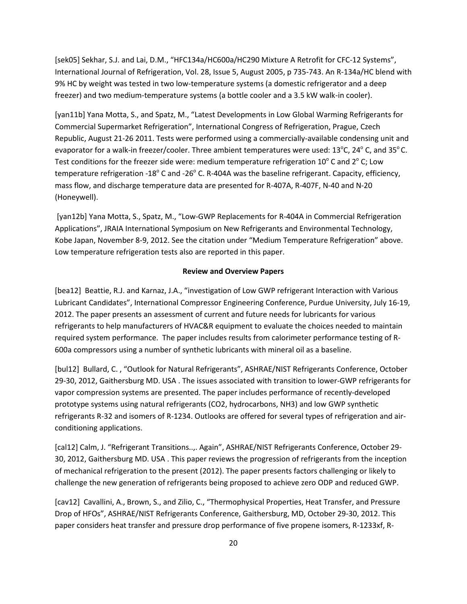[sek05] Sekhar, S.J. and Lai, D.M., "HFC134a/HC600a/HC290 Mixture A Retrofit for CFC-12 Systems", International Journal of Refrigeration, Vol. 28, Issue 5, August 2005, p 735-743. An R-134a/HC blend with 9% HC by weight was tested in two low-temperature systems (a domestic refrigerator and a deep freezer) and two medium-temperature systems (a bottle cooler and a 3.5 kW walk-in cooler).

[yan11b] Yana Motta, S., and Spatz, M., "Latest Developments in Low Global Warming Refrigerants for Commercial Supermarket Refrigeration", International Congress of Refrigeration, Prague, Czech Republic, August 21-26 2011. Tests were performed using a commercially-available condensing unit and evaporator for a walk-in freezer/cooler. Three ambient temperatures were used:  $13^{\circ}$ C,  $24^{\circ}$ C, and  $35^{\circ}$ C. Test conditions for the freezer side were: medium temperature refrigeration 10 $^{\circ}$  C and 2 $^{\circ}$  C; Low temperature refrigeration -18 $^{\circ}$  C and -26 $^{\circ}$  C. R-404A was the baseline refrigerant. Capacity, efficiency, mass flow, and discharge temperature data are presented for R-407A, R-407F, N-40 and N-20 (Honeywell).

[yan12b] Yana Motta, S., Spatz, M., "Low-GWP Replacements for R-404A in Commercial Refrigeration Applications", JRAIA International Symposium on New Refrigerants and Environmental Technology, Kobe Japan, November 8-9, 2012. See the citation under "Medium Temperature Refrigeration" above. Low temperature refrigeration tests also are reported in this paper.

#### **Review and Overview Papers**

[bea12] Beattie, R.J. and Karnaz, J.A., "investigation of Low GWP refrigerant Interaction with Various Lubricant Candidates", International Compressor Engineering Conference, Purdue University, July 16-19, 2012. The paper presents an assessment of current and future needs for lubricants for various refrigerants to help manufacturers of HVAC&R equipment to evaluate the choices needed to maintain required system performance. The paper includes results from calorimeter performance testing of R-600a compressors using a number of synthetic lubricants with mineral oil as a baseline.

[bul12] Bullard, C. , "Outlook for Natural Refrigerants", ASHRAE/NIST Refrigerants Conference, October 29-30, 2012, Gaithersburg MD. USA . The issues associated with transition to lower-GWP refrigerants for vapor compression systems are presented. The paper includes performance of recently-developed prototype systems using natural refrigerants (CO2, hydrocarbons, NH3) and low GWP synthetic refrigerants R-32 and isomers of R-1234. Outlooks are offered for several types of refrigeration and airconditioning applications.

[cal12] Calm, J. "Refrigerant Transitions..,. Again", ASHRAE/NIST Refrigerants Conference, October 29- 30, 2012, Gaithersburg MD. USA . This paper reviews the progression of refrigerants from the inception of mechanical refrigeration to the present (2012). The paper presents factors challenging or likely to challenge the new generation of refrigerants being proposed to achieve zero ODP and reduced GWP.

[cav12] Cavallini, A., Brown, S., and Zilio, C., "Thermophysical Properties, Heat Transfer, and Pressure Drop of HFOs", ASHRAE/NIST Refrigerants Conference, Gaithersburg, MD, October 29-30, 2012. This paper considers heat transfer and pressure drop performance of five propene isomers, R-1233xf, R-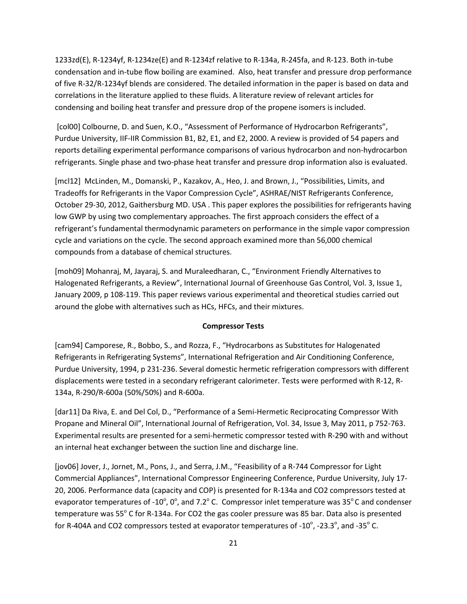1233zd(E), R-1234yf, R-1234ze(E) and R-1234zf relative to R-134a, R-245fa, and R-123. Both in-tube condensation and in-tube flow boiling are examined. Also, heat transfer and pressure drop performance of five R-32/R-1234yf blends are considered. The detailed information in the paper is based on data and correlations in the literature applied to these fluids. A literature review of relevant articles for condensing and boiling heat transfer and pressure drop of the propene isomers is included.

[col00] Colbourne, D. and Suen, K.O., "Assessment of Performance of Hydrocarbon Refrigerants", Purdue University, IIF-IIR Commission B1, B2, E1, and E2, 2000. A review is provided of 54 papers and reports detailing experimental performance comparisons of various hydrocarbon and non-hydrocarbon refrigerants. Single phase and two-phase heat transfer and pressure drop information also is evaluated.

[mcl12] McLinden, M., Domanski, P., Kazakov, A., Heo, J. and Brown, J., "Possibilities, Limits, and Tradeoffs for Refrigerants in the Vapor Compression Cycle", ASHRAE/NIST Refrigerants Conference, October 29-30, 2012, Gaithersburg MD. USA . This paper explores the possibilities for refrigerants having low GWP by using two complementary approaches. The first approach considers the effect of a refrigerant's fundamental thermodynamic parameters on performance in the simple vapor compression cycle and variations on the cycle. The second approach examined more than 56,000 chemical compounds from a database of chemical structures.

[moh09] Mohanraj, M, Jayaraj, S. and Muraleedharan, C., "Environment Friendly Alternatives to Halogenated Refrigerants, a Review", International Journal of Greenhouse Gas Control, Vol. 3, Issue 1, January 2009, p 108-119. This paper reviews various experimental and theoretical studies carried out around the globe with alternatives such as HCs, HFCs, and their mixtures.

## **Compressor Tests**

[cam94] Camporese, R., Bobbo, S., and Rozza, F., "Hydrocarbons as Substitutes for Halogenated Refrigerants in Refrigerating Systems", International Refrigeration and Air Conditioning Conference, Purdue University, 1994, p 231-236. Several domestic hermetic refrigeration compressors with different displacements were tested in a secondary refrigerant calorimeter. Tests were performed with R-12, R-134a, R-290/R-600a (50%/50%) and R-600a.

[dar11] Da Riva, E. and Del Col, D., "Performance of a Semi-Hermetic Reciprocating Compressor With Propane and Mineral Oil", International Journal of Refrigeration, Vol. 34, Issue 3, May 2011, p 752-763. Experimental results are presented for a semi-hermetic compressor tested with R-290 with and without an internal heat exchanger between the suction line and discharge line.

[jov06] Jover, J., Jornet, M., Pons, J., and Serra, J.M., "Feasibility of a R-744 Compressor for Light Commercial Appliances", International Compressor Engineering Conference, Purdue University, July 17- 20, 2006. Performance data (capacity and COP) is presented for R-134a and CO2 compressors tested at evaporator temperatures of -10°, 0°, and 7.2° C. Compressor inlet temperature was 35°C and condenser temperature was 55° C for R-134a. For CO2 the gas cooler pressure was 85 bar. Data also is presented for R-404A and CO2 compressors tested at evaporator temperatures of -10 $^{\circ}$ , -23.3 $^{\circ}$ , and -35 $^{\circ}$  C.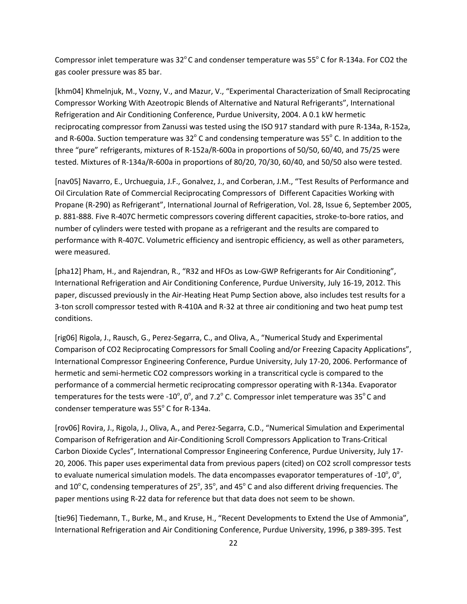Compressor inlet temperature was  $32^{\circ}$ C and condenser temperature was  $55^{\circ}$  C for R-134a. For CO2 the gas cooler pressure was 85 bar.

[khm04] Khmelnjuk, M., Vozny, V., and Mazur, V., "Experimental Characterization of Small Reciprocating Compressor Working With Azeotropic Blends of Alternative and Natural Refrigerants", International Refrigeration and Air Conditioning Conference, Purdue University, 2004. A 0.1 kW hermetic reciprocating compressor from Zanussi was tested using the ISO 917 standard with pure R-134a, R-152a, and R-600a. Suction temperature was  $32^{\circ}$  C and condensing temperature was 55 $^{\circ}$  C. In addition to the three "pure" refrigerants, mixtures of R-152a/R-600a in proportions of 50/50, 60/40, and 75/25 were tested. Mixtures of R-134a/R-600a in proportions of 80/20, 70/30, 60/40, and 50/50 also were tested.

[nav05] Navarro, E., Urchueguia, J.F., Gonalvez, J., and Corberan, J.M., "Test Results of Performance and Oil Circulation Rate of Commercial Reciprocating Compressors of Different Capacities Working with Propane (R-290) as Refrigerant", International Journal of Refrigeration, Vol. 28, Issue 6, September 2005, p. 881-888. Five R-407C hermetic compressors covering different capacities, stroke-to-bore ratios, and number of cylinders were tested with propane as a refrigerant and the results are compared to performance with R-407C. Volumetric efficiency and isentropic efficiency, as well as other parameters, were measured.

[pha12] Pham, H., and Rajendran, R., "R32 and HFOs as Low-GWP Refrigerants for Air Conditioning", International Refrigeration and Air Conditioning Conference, Purdue University, July 16-19, 2012. This paper, discussed previously in the Air-Heating Heat Pump Section above, also includes test results for a 3-ton scroll compressor tested with R-410A and R-32 at three air conditioning and two heat pump test conditions.

[rig06] Rigola, J., Rausch, G., Perez-Segarra, C., and Oliva, A., "Numerical Study and Experimental Comparison of CO2 Reciprocating Compressors for Small Cooling and/or Freezing Capacity Applications", International Compressor Engineering Conference, Purdue University, July 17-20, 2006. Performance of hermetic and semi-hermetic CO2 compressors working in a transcritical cycle is compared to the performance of a commercial hermetic reciprocating compressor operating with R-134a. Evaporator temperatures for the tests were -10 $^{\circ}$ , 0 $^{\circ}$ , and 7.2 $^{\circ}$  C. Compressor inlet temperature was 35 $^{\circ}$ C and condenser temperature was  $55^{\circ}$  C for R-134a.

[rov06] Rovira, J., Rigola, J., Oliva, A., and Perez-Segarra, C.D., "Numerical Simulation and Experimental Comparison of Refrigeration and Air-Conditioning Scroll Compressors Application to Trans-Critical Carbon Dioxide Cycles", International Compressor Engineering Conference, Purdue University, July 17- 20, 2006. This paper uses experimental data from previous papers (cited) on CO2 scroll compressor tests to evaluate numerical simulation models. The data encompasses evaporator temperatures of -10 $^{\circ}$ , 0 $^{\circ}$ , and 10 $^{\circ}$  C, condensing temperatures of 25 $^{\circ}$ , 35 $^{\circ}$ , and 45 $^{\circ}$  C and also different driving frequencies. The paper mentions using R-22 data for reference but that data does not seem to be shown.

[tie96] Tiedemann, T., Burke, M., and Kruse, H., "Recent Developments to Extend the Use of Ammonia", International Refrigeration and Air Conditioning Conference, Purdue University, 1996, p 389-395. Test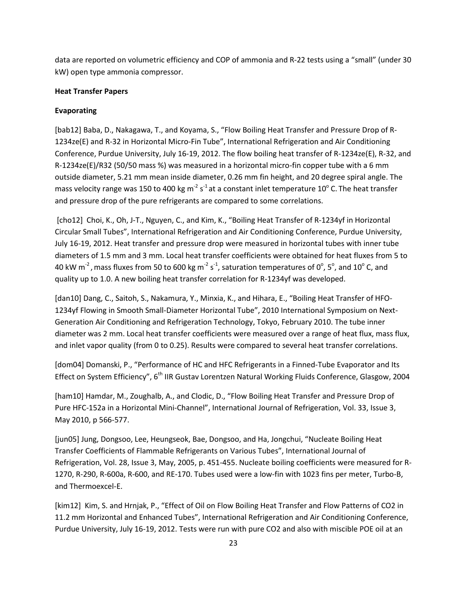data are reported on volumetric efficiency and COP of ammonia and R-22 tests using a "small" (under 30 kW) open type ammonia compressor.

### **Heat Transfer Papers**

## **Evaporating**

[bab12] Baba, D., Nakagawa, T., and Koyama, S., "Flow Boiling Heat Transfer and Pressure Drop of R-1234ze(E) and R-32 in Horizontal Micro-Fin Tube", International Refrigeration and Air Conditioning Conference, Purdue University, July 16-19, 2012. The flow boiling heat transfer of R-1234ze(E), R-32, and R-1234ze(E)/R32 (50/50 mass %) was measured in a horizontal micro-fin copper tube with a 6 mm outside diameter, 5.21 mm mean inside diameter, 0.26 mm fin height, and 20 degree spiral angle. The mass velocity range was 150 to 400 kg m<sup>-2</sup> s<sup>-1</sup> at a constant inlet temperature 10<sup>°</sup> C. The heat transfer and pressure drop of the pure refrigerants are compared to some correlations.

[cho12] Choi, K., Oh, J-T., Nguyen, C., and Kim, K., "Boiling Heat Transfer of R-1234yf in Horizontal Circular Small Tubes", International Refrigeration and Air Conditioning Conference, Purdue University, July 16-19, 2012. Heat transfer and pressure drop were measured in horizontal tubes with inner tube diameters of 1.5 mm and 3 mm. Local heat transfer coefficients were obtained for heat fluxes from 5 to 40 kW m<sup>-2</sup>, mass fluxes from 50 to 600 kg m<sup>-2</sup> s<sup>-1</sup>, saturation temperatures of 0<sup>o</sup>, 5<sup>o</sup>, and 10<sup>o</sup> C, and quality up to 1.0. A new boiling heat transfer correlation for R-1234yf was developed.

[dan10] Dang, C., Saitoh, S., Nakamura, Y., Minxia, K., and Hihara, E., "Boiling Heat Transfer of HFO-1234yf Flowing in Smooth Small-Diameter Horizontal Tube", 2010 International Symposium on Next-Generation Air Conditioning and Refrigeration Technology, Tokyo, February 2010. The tube inner diameter was 2 mm. Local heat transfer coefficients were measured over a range of heat flux, mass flux, and inlet vapor quality (from 0 to 0.25). Results were compared to several heat transfer correlations.

[dom04] Domanski, P., "Performance of HC and HFC Refrigerants in a Finned-Tube Evaporator and Its Effect on System Efficiency", 6<sup>th</sup> IIR Gustav Lorentzen Natural Working Fluids Conference, Glasgow, 2004

[ham10] Hamdar, M., Zoughalb, A., and Clodic, D., "Flow Boiling Heat Transfer and Pressure Drop of Pure HFC-152a in a Horizontal Mini-Channel", International Journal of Refrigeration, Vol. 33, Issue 3, May 2010, p 566-577.

[jun05] Jung, Dongsoo, Lee, Heungseok, Bae, Dongsoo, and Ha, Jongchui, "Nucleate Boiling Heat Transfer Coefficients of Flammable Refrigerants on Various Tubes", International Journal of Refrigeration, Vol. 28, Issue 3, May, 2005, p. 451-455. Nucleate boiling coefficients were measured for R-1270, R-290, R-600a, R-600, and RE-170. Tubes used were a low-fin with 1023 fins per meter, Turbo-B, and Thermoexcel-E.

[kim12] Kim, S. and Hrnjak, P., "Effect of Oil on Flow Boiling Heat Transfer and Flow Patterns of CO2 in 11.2 mm Horizontal and Enhanced Tubes", International Refrigeration and Air Conditioning Conference, Purdue University, July 16-19, 2012. Tests were run with pure CO2 and also with miscible POE oil at an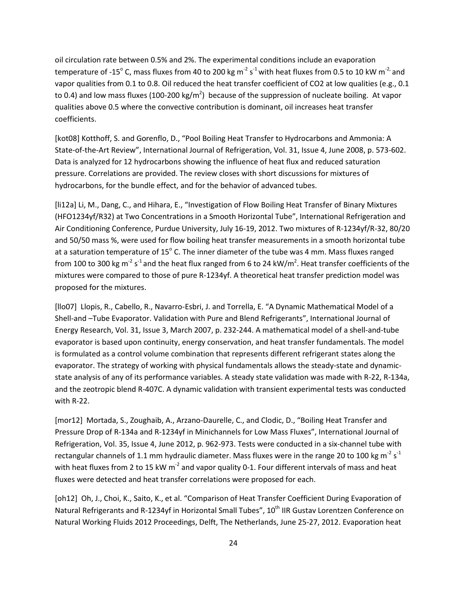oil circulation rate between 0.5% and 2%. The experimental conditions include an evaporation temperature of -15 $^{\circ}$  C, mass fluxes from 40 to 200 kg m<sup>-2</sup> s<sup>-1</sup> with heat fluxes from 0.5 to 10 kW m<sup>-2,</sup> and vapor qualities from 0.1 to 0.8. Oil reduced the heat transfer coefficient of CO2 at low qualities (e.g., 0.1 to 0.4) and low mass fluxes (100-200 kg/m<sup>2</sup>) because of the suppression of nucleate boiling. At vapor qualities above 0.5 where the convective contribution is dominant, oil increases heat transfer coefficients.

[kot08] Kotthoff, S. and Gorenflo, D., "Pool Boiling Heat Transfer to Hydrocarbons and Ammonia: A State-of-the-Art Review", International Journal of Refrigeration, Vol. 31, Issue 4, June 2008, p. 573-602. Data is analyzed for 12 hydrocarbons showing the influence of heat flux and reduced saturation pressure. Correlations are provided. The review closes with short discussions for mixtures of hydrocarbons, for the bundle effect, and for the behavior of advanced tubes.

[li12a] Li, M., Dang, C., and Hihara, E., "Investigation of Flow Boiling Heat Transfer of Binary Mixtures (HFO1234yf/R32) at Two Concentrations in a Smooth Horizontal Tube", International Refrigeration and Air Conditioning Conference, Purdue University, July 16-19, 2012. Two mixtures of R-1234yf/R-32, 80/20 and 50/50 mass %, were used for flow boiling heat transfer measurements in a smooth horizontal tube at a saturation temperature of  $15^{\circ}$  C. The inner diameter of the tube was 4 mm. Mass fluxes ranged from 100 to 300 kg m<sup>-2</sup> s<sup>-1</sup> and the heat flux ranged from 6 to 24 kW/m<sup>2</sup>. Heat transfer coefficients of the mixtures were compared to those of pure R-1234yf. A theoretical heat transfer prediction model was proposed for the mixtures.

[llo07] Llopis, R., Cabello, R., Navarro-Esbri, J. and Torrella, E. "A Dynamic Mathematical Model of a Shell-and –Tube Evaporator. Validation with Pure and Blend Refrigerants", International Journal of Energy Research, Vol. 31, Issue 3, March 2007, p. 232-244. A mathematical model of a shell-and-tube evaporator is based upon continuity, energy conservation, and heat transfer fundamentals. The model is formulated as a control volume combination that represents different refrigerant states along the evaporator. The strategy of working with physical fundamentals allows the steady-state and dynamicstate analysis of any of its performance variables. A steady state validation was made with R-22, R-134a, and the zeotropic blend R-407C. A dynamic validation with transient experimental tests was conducted with R-22.

[mor12] Mortada, S., Zoughaib, A., Arzano-Daurelle, C., and Clodic, D., "Boiling Heat Transfer and Pressure Drop of R-134a and R-1234yf in Minichannels for Low Mass Fluxes", International Journal of Refrigeration, Vol. 35, Issue 4, June 2012, p. 962-973. Tests were conducted in a six-channel tube with rectangular channels of 1.1 mm hydraulic diameter. Mass fluxes were in the range 20 to 100 kg m<sup>-2</sup> s<sup>-1</sup> with heat fluxes from 2 to 15 kW  $m^2$  and vapor quality 0-1. Four different intervals of mass and heat fluxes were detected and heat transfer correlations were proposed for each.

[oh12] Oh, J., Choi, K., Saito, K., et al. "Comparison of Heat Transfer Coefficient During Evaporation of Natural Refrigerants and R-1234yf in Horizontal Small Tubes", 10<sup>th</sup> IIR Gustav Lorentzen Conference on Natural Working Fluids 2012 Proceedings, Delft, The Netherlands, June 25-27, 2012. Evaporation heat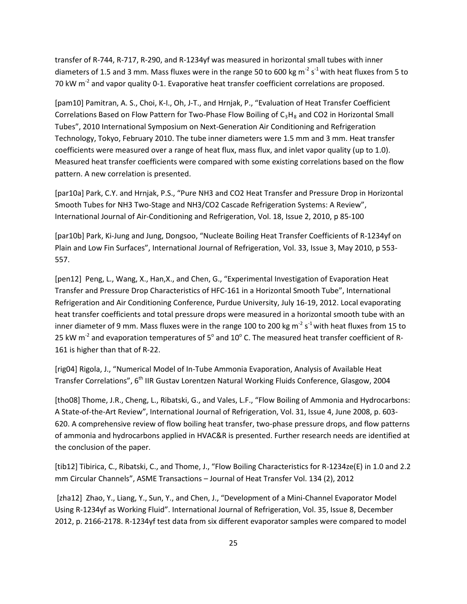transfer of R-744, R-717, R-290, and R-1234yf was measured in horizontal small tubes with inner diameters of 1.5 and 3 mm. Mass fluxes were in the range 50 to 600 kg m<sup>-2</sup> s<sup>-1</sup> with heat fluxes from 5 to 70 kW m<sup>-2</sup> and vapor quality 0-1. Evaporative heat transfer coefficient correlations are proposed.

[pam10] Pamitran, A. S., Choi, K-I., Oh, J-T., and Hrnjak, P., "Evaluation of Heat Transfer Coefficient Correlations Based on Flow Pattern for Two-Phase Flow Boiling of  $C_3H_8$  and CO2 in Horizontal Small Tubes", 2010 International Symposium on Next-Generation Air Conditioning and Refrigeration Technology, Tokyo, February 2010. The tube inner diameters were 1.5 mm and 3 mm. Heat transfer coefficients were measured over a range of heat flux, mass flux, and inlet vapor quality (up to 1.0). Measured heat transfer coefficients were compared with some existing correlations based on the flow pattern. A new correlation is presented.

[par10a] Park, C.Y. and Hrnjak, P.S., "Pure NH3 and CO2 Heat Transfer and Pressure Drop in Horizontal Smooth Tubes for NH3 Two-Stage and NH3/CO2 Cascade Refrigeration Systems: A Review", International Journal of Air-Conditioning and Refrigeration, Vol. 18, Issue 2, 2010, p 85-100

[par10b] Park, Ki-Jung and Jung, Dongsoo, "Nucleate Boiling Heat Transfer Coefficients of R-1234yf on Plain and Low Fin Surfaces", International Journal of Refrigeration, Vol. 33, Issue 3, May 2010, p 553- 557.

[pen12] Peng, L., Wang, X., Han,X., and Chen, G., "Experimental Investigation of Evaporation Heat Transfer and Pressure Drop Characteristics of HFC-161 in a Horizontal Smooth Tube", International Refrigeration and Air Conditioning Conference, Purdue University, July 16-19, 2012. Local evaporating heat transfer coefficients and total pressure drops were measured in a horizontal smooth tube with an inner diameter of 9 mm. Mass fluxes were in the range 100 to 200 kg m<sup>-2</sup> s<sup>-1</sup> with heat fluxes from 15 to 25 kW  $m<sup>2</sup>$  and evaporation temperatures of  $5<sup>o</sup>$  and 10<sup>o</sup> C. The measured heat transfer coefficient of R-161 is higher than that of R-22.

[rig04] Rigola, J., "Numerical Model of In-Tube Ammonia Evaporation, Analysis of Available Heat Transfer Correlations", 6<sup>th</sup> IIR Gustav Lorentzen Natural Working Fluids Conference, Glasgow, 2004

[tho08] Thome, J.R., Cheng, L., Ribatski, G., and Vales, L.F., "Flow Boiling of Ammonia and Hydrocarbons: A State-of-the-Art Review", International Journal of Refrigeration, Vol. 31, Issue 4, June 2008, p. 603- 620. A comprehensive review of flow boiling heat transfer, two-phase pressure drops, and flow patterns of ammonia and hydrocarbons applied in HVAC&R is presented. Further research needs are identified at the conclusion of the paper.

[tib12] Tibirica, C., Ribatski, C., and Thome, J., "Flow Boiling Characteristics for R-1234ze(E) in 1.0 and 2.2 mm Circular Channels", ASME Transactions – Journal of Heat Transfer Vol. 134 (2), 2012

[zha12] Zhao, Y., Liang, Y., Sun, Y., and Chen, J., "Development of a Mini-Channel Evaporator Model Using R-1234yf as Working Fluid". International Journal of Refrigeration, Vol. 35, Issue 8, December 2012, p. 2166-2178. R-1234yf test data from six different evaporator samples were compared to model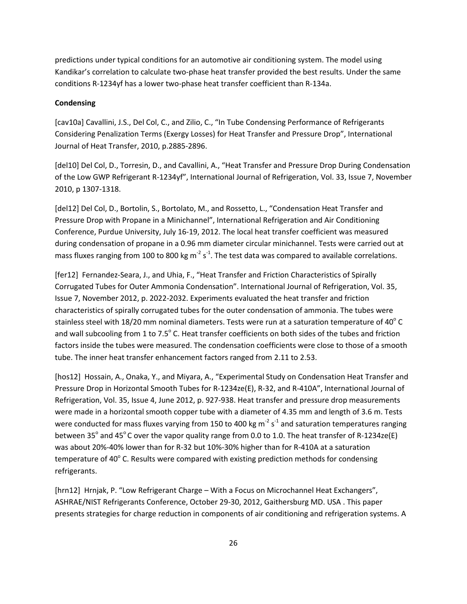predictions under typical conditions for an automotive air conditioning system. The model using Kandikar's correlation to calculate two-phase heat transfer provided the best results. Under the same conditions R-1234yf has a lower two-phase heat transfer coefficient than R-134a.

### **Condensing**

[cav10a] Cavallini, J.S., Del Col, C., and Zilio, C., "In Tube Condensing Performance of Refrigerants Considering Penalization Terms (Exergy Losses) for Heat Transfer and Pressure Drop", International Journal of Heat Transfer, 2010, p.2885-2896.

[del10] Del Col, D., Torresin, D., and Cavallini, A., "Heat Transfer and Pressure Drop During Condensation of the Low GWP Refrigerant R-1234yf", International Journal of Refrigeration, Vol. 33, Issue 7, November 2010, p 1307-1318.

[del12] Del Col, D., Bortolin, S., Bortolato, M., and Rossetto, L., "Condensation Heat Transfer and Pressure Drop with Propane in a Minichannel", International Refrigeration and Air Conditioning Conference, Purdue University, July 16-19, 2012. The local heat transfer coefficient was measured during condensation of propane in a 0.96 mm diameter circular minichannel. Tests were carried out at mass fluxes ranging from 100 to 800 kg m<sup>-2</sup> s<sup>-1</sup>. The test data was compared to available correlations.

[fer12] Fernandez-Seara, J., and Uhia, F., "Heat Transfer and Friction Characteristics of Spirally Corrugated Tubes for Outer Ammonia Condensation". International Journal of Refrigeration, Vol. 35, Issue 7, November 2012, p. 2022-2032. Experiments evaluated the heat transfer and friction characteristics of spirally corrugated tubes for the outer condensation of ammonia. The tubes were stainless steel with 18/20 mm nominal diameters. Tests were run at a saturation temperature of 40 $^{\circ}$  C and wall subcooling from 1 to 7.5° C. Heat transfer coefficients on both sides of the tubes and friction factors inside the tubes were measured. The condensation coefficients were close to those of a smooth tube. The inner heat transfer enhancement factors ranged from 2.11 to 2.53.

[hos12] Hossain, A., Onaka, Y., and Miyara, A., "Experimental Study on Condensation Heat Transfer and Pressure Drop in Horizontal Smooth Tubes for R-1234ze(E), R-32, and R-410A", International Journal of Refrigeration, Vol. 35, Issue 4, June 2012, p. 927-938. Heat transfer and pressure drop measurements were made in a horizontal smooth copper tube with a diameter of 4.35 mm and length of 3.6 m. Tests were conducted for mass fluxes varying from 150 to 400 kg m<sup>-2</sup> s<sup>-1</sup> and saturation temperatures ranging between 35 $^{\circ}$  and 45 $^{\circ}$ C over the vapor quality range from 0.0 to 1.0. The heat transfer of R-1234ze(E) was about 20%-40% lower than for R-32 but 10%-30% higher than for R-410A at a saturation temperature of 40 $\degree$  C. Results were compared with existing prediction methods for condensing refrigerants.

[hrn12] Hrnjak, P. "Low Refrigerant Charge – With a Focus on Microchannel Heat Exchangers", ASHRAE/NIST Refrigerants Conference, October 29-30, 2012, Gaithersburg MD. USA . This paper presents strategies for charge reduction in components of air conditioning and refrigeration systems. A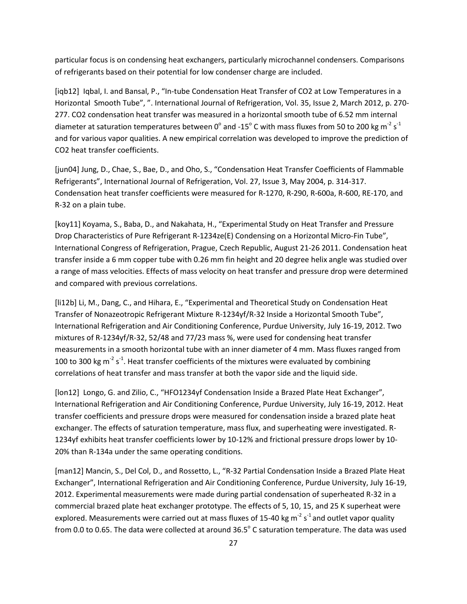particular focus is on condensing heat exchangers, particularly microchannel condensers. Comparisons of refrigerants based on their potential for low condenser charge are included.

[iqb12] Iqbal, I. and Bansal, P., "In-tube Condensation Heat Transfer of CO2 at Low Temperatures in a Horizontal Smooth Tube", ". International Journal of Refrigeration, Vol. 35, Issue 2, March 2012, p. 270- 277. CO2 condensation heat transfer was measured in a horizontal smooth tube of 6.52 mm internal diameter at saturation temperatures between 0<sup>°</sup> and -15<sup>°</sup> C with mass fluxes from 50 to 200 kg m<sup>-2</sup> s<sup>-1</sup> and for various vapor qualities. A new empirical correlation was developed to improve the prediction of CO2 heat transfer coefficients.

[jun04] Jung, D., Chae, S., Bae, D., and Oho, S., "Condensation Heat Transfer Coefficients of Flammable Refrigerants", International Journal of Refrigeration, Vol. 27, Issue 3, May 2004, p. 314-317. Condensation heat transfer coefficients were measured for R-1270, R-290, R-600a, R-600, RE-170, and R-32 on a plain tube.

[koy11] Koyama, S., Baba, D., and Nakahata, H., "Experimental Study on Heat Transfer and Pressure Drop Characteristics of Pure Refrigerant R-1234ze(E) Condensing on a Horizontal Micro-Fin Tube", International Congress of Refrigeration, Prague, Czech Republic, August 21-26 2011. Condensation heat transfer inside a 6 mm copper tube with 0.26 mm fin height and 20 degree helix angle was studied over a range of mass velocities. Effects of mass velocity on heat transfer and pressure drop were determined and compared with previous correlations.

[li12b] Li, M., Dang, C., and Hihara, E., "Experimental and Theoretical Study on Condensation Heat Transfer of Nonazeotropic Refrigerant Mixture R-1234yf/R-32 Inside a Horizontal Smooth Tube", International Refrigeration and Air Conditioning Conference, Purdue University, July 16-19, 2012. Two mixtures of R-1234yf/R-32, 52/48 and 77/23 mass %, were used for condensing heat transfer measurements in a smooth horizontal tube with an inner diameter of 4 mm. Mass fluxes ranged from 100 to 300 kg  $m^2 s^{-1}$ . Heat transfer coefficients of the mixtures were evaluated by combining correlations of heat transfer and mass transfer at both the vapor side and the liquid side.

[lon12] Longo, G. and Zilio, C., "HFO1234yf Condensation Inside a Brazed Plate Heat Exchanger", International Refrigeration and Air Conditioning Conference, Purdue University, July 16-19, 2012. Heat transfer coefficients and pressure drops were measured for condensation inside a brazed plate heat exchanger. The effects of saturation temperature, mass flux, and superheating were investigated. R-1234yf exhibits heat transfer coefficients lower by 10-12% and frictional pressure drops lower by 10- 20% than R-134a under the same operating conditions.

[man12] Mancin, S., Del Col, D., and Rossetto, L., "R-32 Partial Condensation Inside a Brazed Plate Heat Exchanger", International Refrigeration and Air Conditioning Conference, Purdue University, July 16-19, 2012. Experimental measurements were made during partial condensation of superheated R-32 in a commercial brazed plate heat exchanger prototype. The effects of 5, 10, 15, and 25 K superheat were explored. Measurements were carried out at mass fluxes of 15-40 kg m<sup>-2</sup> s<sup>-1</sup> and outlet vapor quality from 0.0 to 0.65. The data were collected at around 36.5° C saturation temperature. The data was used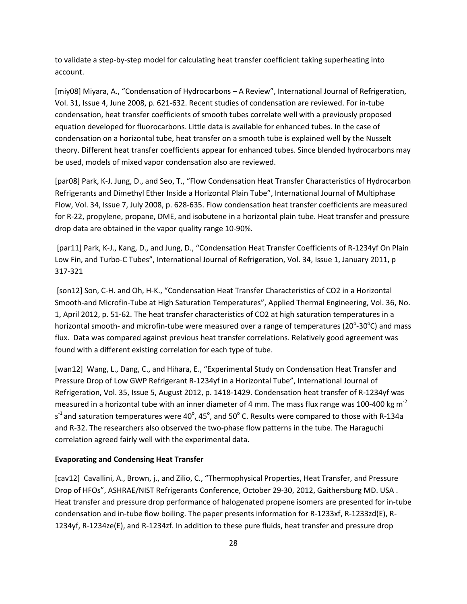to validate a step-by-step model for calculating heat transfer coefficient taking superheating into account.

[miy08] Miyara, A., "Condensation of Hydrocarbons – A Review", International Journal of Refrigeration, Vol. 31, Issue 4, June 2008, p. 621-632. Recent studies of condensation are reviewed. For in-tube condensation, heat transfer coefficients of smooth tubes correlate well with a previously proposed equation developed for fluorocarbons. Little data is available for enhanced tubes. In the case of condensation on a horizontal tube, heat transfer on a smooth tube is explained well by the Nusselt theory. Different heat transfer coefficients appear for enhanced tubes. Since blended hydrocarbons may be used, models of mixed vapor condensation also are reviewed.

[par08] Park, K-J. Jung, D., and Seo, T., "Flow Condensation Heat Transfer Characteristics of Hydrocarbon Refrigerants and Dimethyl Ether Inside a Horizontal Plain Tube", International Journal of Multiphase Flow, Vol. 34, Issue 7, July 2008, p. 628-635. Flow condensation heat transfer coefficients are measured for R-22, propylene, propane, DME, and isobutene in a horizontal plain tube. Heat transfer and pressure drop data are obtained in the vapor quality range 10-90%.

[par11] Park, K-J., Kang, D., and Jung, D., "Condensation Heat Transfer Coefficients of R-1234yf On Plain Low Fin, and Turbo-C Tubes", International Journal of Refrigeration, Vol. 34, Issue 1, January 2011, p 317-321

[son12] Son, C-H. and Oh, H-K., "Condensation Heat Transfer Characteristics of CO2 in a Horizontal Smooth-and Microfin-Tube at High Saturation Temperatures", Applied Thermal Engineering, Vol. 36, No. 1, April 2012, p. 51-62. The heat transfer characteristics of CO2 at high saturation temperatures in a horizontal smooth- and microfin-tube were measured over a range of temperatures (20 $^{\circ}$ -30 $^{\circ}$ C) and mass flux. Data was compared against previous heat transfer correlations. Relatively good agreement was found with a different existing correlation for each type of tube.

[wan12] Wang, L., Dang, C., and Hihara, E., "Experimental Study on Condensation Heat Transfer and Pressure Drop of Low GWP Refrigerant R-1234yf in a Horizontal Tube", International Journal of Refrigeration, Vol. 35, Issue 5, August 2012, p. 1418-1429. Condensation heat transfer of R-1234yf was measured in a horizontal tube with an inner diameter of 4 mm. The mass flux range was 100-400 kg m<sup>-2</sup> s<sup>-1</sup> and saturation temperatures were 40°, 45°, and 50° C. Results were compared to those with R-134a and R-32. The researchers also observed the two-phase flow patterns in the tube. The Haraguchi correlation agreed fairly well with the experimental data.

#### **Evaporating and Condensing Heat Transfer**

[cav12] Cavallini, A., Brown, j., and Zilio, C., "Thermophysical Properties, Heat Transfer, and Pressure Drop of HFOs", ASHRAE/NIST Refrigerants Conference, October 29-30, 2012, Gaithersburg MD. USA . Heat transfer and pressure drop performance of halogenated propene isomers are presented for in-tube condensation and in-tube flow boiling. The paper presents information for R-1233xf, R-1233zd(E), R-1234yf, R-1234ze(E), and R-1234zf. In addition to these pure fluids, heat transfer and pressure drop